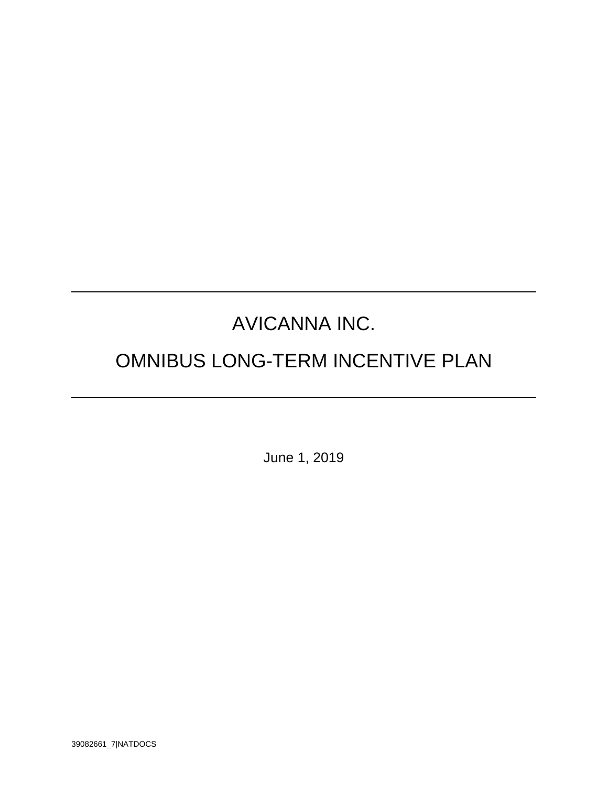# AVICANNA INC.

# OMNIBUS LONG-TERM INCENTIVE PLAN

June 1, 2019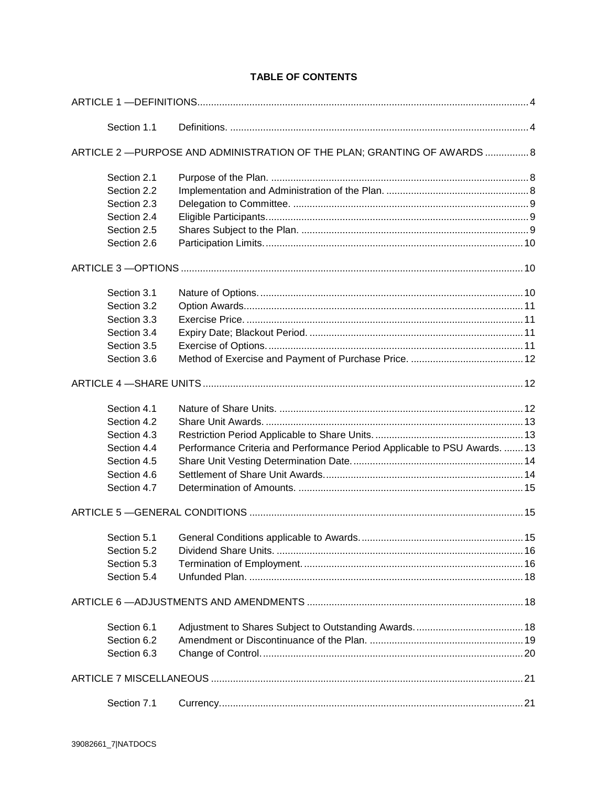# **TABLE OF CONTENTS**

| Section 1.1 |                                                                           |  |
|-------------|---------------------------------------------------------------------------|--|
|             | ARTICLE 2 - PURPOSE AND ADMINISTRATION OF THE PLAN; GRANTING OF AWARDS  8 |  |
| Section 2.1 |                                                                           |  |
| Section 2.2 |                                                                           |  |
| Section 2.3 |                                                                           |  |
| Section 2.4 |                                                                           |  |
| Section 2.5 |                                                                           |  |
| Section 2.6 |                                                                           |  |
|             |                                                                           |  |
| Section 3.1 |                                                                           |  |
| Section 3.2 |                                                                           |  |
| Section 3.3 |                                                                           |  |
| Section 3.4 |                                                                           |  |
| Section 3.5 |                                                                           |  |
| Section 3.6 |                                                                           |  |
|             |                                                                           |  |
| Section 4.1 |                                                                           |  |
| Section 4.2 |                                                                           |  |
| Section 4.3 |                                                                           |  |
| Section 4.4 | Performance Criteria and Performance Period Applicable to PSU Awards.  13 |  |
| Section 4.5 |                                                                           |  |
| Section 4.6 |                                                                           |  |
| Section 4.7 |                                                                           |  |
|             |                                                                           |  |
| Section 5.1 |                                                                           |  |
| Section 5.2 |                                                                           |  |
| Section 5.3 |                                                                           |  |
| Section 5.4 |                                                                           |  |
|             |                                                                           |  |
| Section 6.1 |                                                                           |  |
| Section 6.2 |                                                                           |  |
| Section 6.3 |                                                                           |  |
|             |                                                                           |  |
| Section 7.1 |                                                                           |  |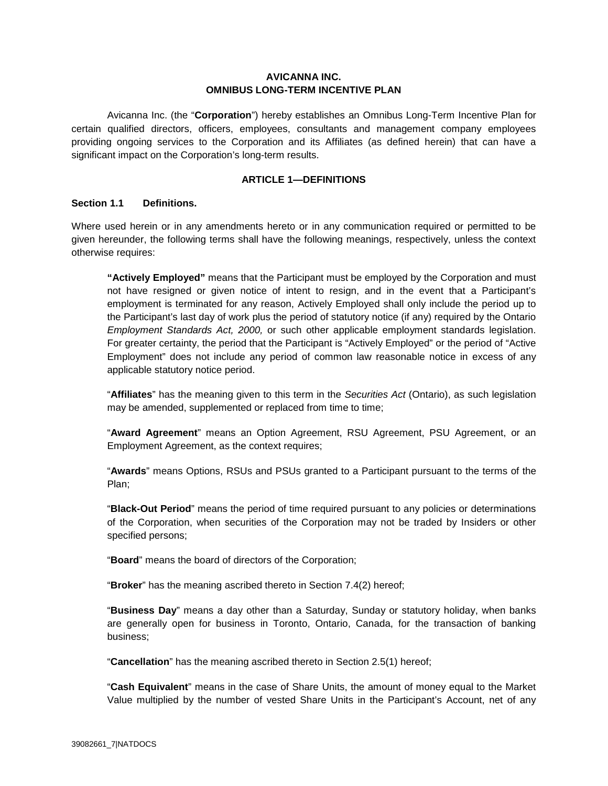# **AVICANNA INC. OMNIBUS LONG-TERM INCENTIVE PLAN**

Avicanna Inc. (the "**Corporation**") hereby establishes an Omnibus Long-Term Incentive Plan for certain qualified directors, officers, employees, consultants and management company employees providing ongoing services to the Corporation and its Affiliates (as defined herein) that can have a significant impact on the Corporation's long-term results.

# **ARTICLE 1—DEFINITIONS**

# **Section 1.1 Definitions.**

Where used herein or in any amendments hereto or in any communication required or permitted to be given hereunder, the following terms shall have the following meanings, respectively, unless the context otherwise requires:

**"Actively Employed"** means that the Participant must be employed by the Corporation and must not have resigned or given notice of intent to resign, and in the event that a Participant's employment is terminated for any reason, Actively Employed shall only include the period up to the Participant's last day of work plus the period of statutory notice (if any) required by the Ontario *Employment Standards Act, 2000,* or such other applicable employment standards legislation. For greater certainty, the period that the Participant is "Actively Employed" or the period of "Active Employment" does not include any period of common law reasonable notice in excess of any applicable statutory notice period.

"**Affiliates**" has the meaning given to this term in the *Securities Act* (Ontario), as such legislation may be amended, supplemented or replaced from time to time;

"**Award Agreement**" means an Option Agreement, RSU Agreement, PSU Agreement, or an Employment Agreement, as the context requires;

"**Awards**" means Options, RSUs and PSUs granted to a Participant pursuant to the terms of the Plan;

"**Black-Out Period**" means the period of time required pursuant to any policies or determinations of the Corporation, when securities of the Corporation may not be traded by Insiders or other specified persons;

"**Board**" means the board of directors of the Corporation;

"**Broker**" has the meaning ascribed thereto in Section 7.4(2) hereof;

"**Business Day**" means a day other than a Saturday, Sunday or statutory holiday, when banks are generally open for business in Toronto, Ontario, Canada, for the transaction of banking business;

"**Cancellation**" has the meaning ascribed thereto in Section 2.5(1) hereof;

"**Cash Equivalent**" means in the case of Share Units, the amount of money equal to the Market Value multiplied by the number of vested Share Units in the Participant's Account, net of any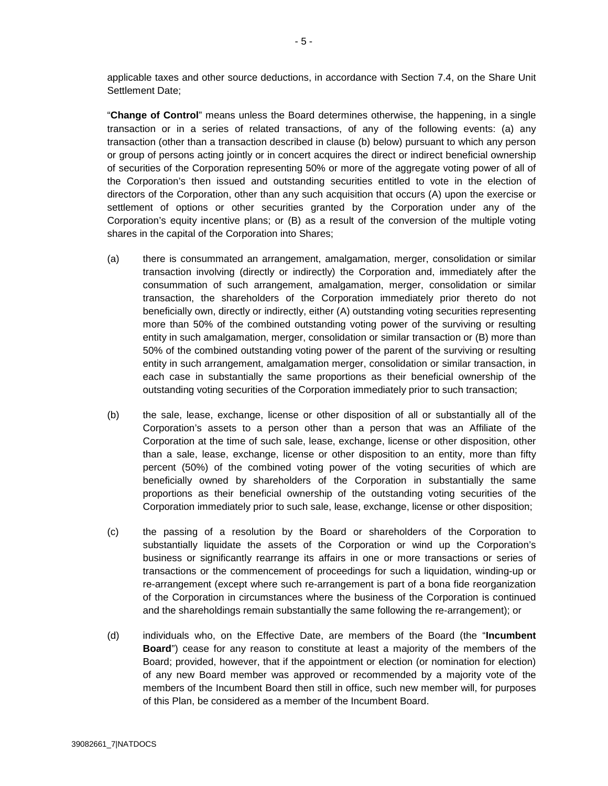applicable taxes and other source deductions, in accordance with Section 7.4, on the Share Unit Settlement Date;

"**Change of Control**" means unless the Board determines otherwise, the happening, in a single transaction or in a series of related transactions, of any of the following events: (a) any transaction (other than a transaction described in clause (b) below) pursuant to which any person or group of persons acting jointly or in concert acquires the direct or indirect beneficial ownership of securities of the Corporation representing 50% or more of the aggregate voting power of all of the Corporation's then issued and outstanding securities entitled to vote in the election of directors of the Corporation, other than any such acquisition that occurs (A) upon the exercise or settlement of options or other securities granted by the Corporation under any of the Corporation's equity incentive plans; or (B) as a result of the conversion of the multiple voting shares in the capital of the Corporation into Shares;

- (a) there is consummated an arrangement, amalgamation, merger, consolidation or similar transaction involving (directly or indirectly) the Corporation and, immediately after the consummation of such arrangement, amalgamation, merger, consolidation or similar transaction, the shareholders of the Corporation immediately prior thereto do not beneficially own, directly or indirectly, either (A) outstanding voting securities representing more than 50% of the combined outstanding voting power of the surviving or resulting entity in such amalgamation, merger, consolidation or similar transaction or (B) more than 50% of the combined outstanding voting power of the parent of the surviving or resulting entity in such arrangement, amalgamation merger, consolidation or similar transaction, in each case in substantially the same proportions as their beneficial ownership of the outstanding voting securities of the Corporation immediately prior to such transaction;
- (b) the sale, lease, exchange, license or other disposition of all or substantially all of the Corporation's assets to a person other than a person that was an Affiliate of the Corporation at the time of such sale, lease, exchange, license or other disposition, other than a sale, lease, exchange, license or other disposition to an entity, more than fifty percent (50%) of the combined voting power of the voting securities of which are beneficially owned by shareholders of the Corporation in substantially the same proportions as their beneficial ownership of the outstanding voting securities of the Corporation immediately prior to such sale, lease, exchange, license or other disposition;
- (c) the passing of a resolution by the Board or shareholders of the Corporation to substantially liquidate the assets of the Corporation or wind up the Corporation's business or significantly rearrange its affairs in one or more transactions or series of transactions or the commencement of proceedings for such a liquidation, winding-up or re-arrangement (except where such re-arrangement is part of a bona fide reorganization of the Corporation in circumstances where the business of the Corporation is continued and the shareholdings remain substantially the same following the re-arrangement); or
- (d) individuals who, on the Effective Date, are members of the Board (the "**Incumbent Board**") cease for any reason to constitute at least a majority of the members of the Board; provided, however, that if the appointment or election (or nomination for election) of any new Board member was approved or recommended by a majority vote of the members of the Incumbent Board then still in office, such new member will, for purposes of this Plan, be considered as a member of the Incumbent Board.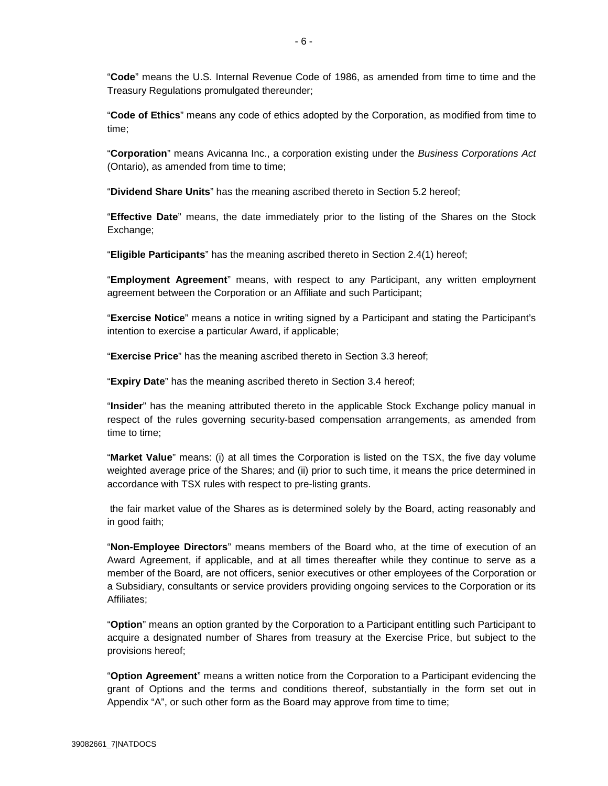"**Code**" means the U.S. Internal Revenue Code of 1986, as amended from time to time and the Treasury Regulations promulgated thereunder;

"**Code of Ethics**" means any code of ethics adopted by the Corporation, as modified from time to time;

"**Corporation**" means Avicanna Inc., a corporation existing under the *Business Corporations Act* (Ontario), as amended from time to time;

"**Dividend Share Units**" has the meaning ascribed thereto in Section 5.2 hereof;

"**Effective Date**" means, the date immediately prior to the listing of the Shares on the Stock Exchange;

"**Eligible Participants**" has the meaning ascribed thereto in Section 2.4(1) hereof;

"**Employment Agreement**" means, with respect to any Participant, any written employment agreement between the Corporation or an Affiliate and such Participant;

"**Exercise Notice**" means a notice in writing signed by a Participant and stating the Participant's intention to exercise a particular Award, if applicable;

"**Exercise Price**" has the meaning ascribed thereto in Section 3.3 hereof;

"**Expiry Date**" has the meaning ascribed thereto in Section 3.4 hereof;

"**Insider**" has the meaning attributed thereto in the applicable Stock Exchange policy manual in respect of the rules governing security-based compensation arrangements, as amended from time to time;

"**Market Value**" means: (i) at all times the Corporation is listed on the TSX, the five day volume weighted average price of the Shares; and (ii) prior to such time, it means the price determined in accordance with TSX rules with respect to pre-listing grants.

 the fair market value of the Shares as is determined solely by the Board, acting reasonably and in good faith;

"**Non-Employee Directors**" means members of the Board who, at the time of execution of an Award Agreement, if applicable, and at all times thereafter while they continue to serve as a member of the Board, are not officers, senior executives or other employees of the Corporation or a Subsidiary, consultants or service providers providing ongoing services to the Corporation or its Affiliates;

"**Option**" means an option granted by the Corporation to a Participant entitling such Participant to acquire a designated number of Shares from treasury at the Exercise Price, but subject to the provisions hereof;

"**Option Agreement**" means a written notice from the Corporation to a Participant evidencing the grant of Options and the terms and conditions thereof, substantially in the form set out in Appendix "A", or such other form as the Board may approve from time to time;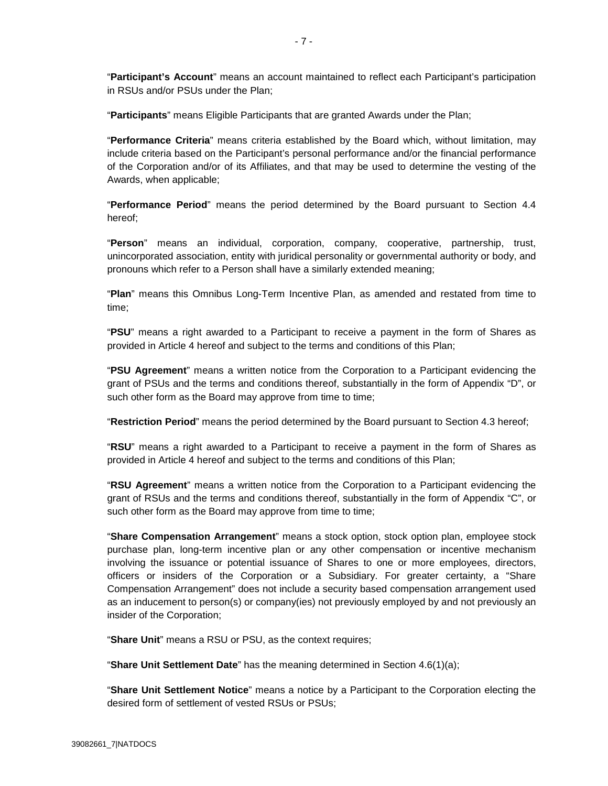"**Participant's Account**" means an account maintained to reflect each Participant's participation in RSUs and/or PSUs under the Plan;

"**Participants**" means Eligible Participants that are granted Awards under the Plan;

"**Performance Criteria**" means criteria established by the Board which, without limitation, may include criteria based on the Participant's personal performance and/or the financial performance of the Corporation and/or of its Affiliates, and that may be used to determine the vesting of the Awards, when applicable;

"**Performance Period**" means the period determined by the Board pursuant to Section 4.4 hereof;

"**Person**" means an individual, corporation, company, cooperative, partnership, trust, unincorporated association, entity with juridical personality or governmental authority or body, and pronouns which refer to a Person shall have a similarly extended meaning;

"**Plan**" means this Omnibus Long-Term Incentive Plan, as amended and restated from time to time;

"**PSU**" means a right awarded to a Participant to receive a payment in the form of Shares as provided in Article 4 hereof and subject to the terms and conditions of this Plan;

"**PSU Agreement**" means a written notice from the Corporation to a Participant evidencing the grant of PSUs and the terms and conditions thereof, substantially in the form of Appendix "D", or such other form as the Board may approve from time to time;

"**Restriction Period**" means the period determined by the Board pursuant to Section 4.3 hereof;

"**RSU**" means a right awarded to a Participant to receive a payment in the form of Shares as provided in Article 4 hereof and subject to the terms and conditions of this Plan;

"**RSU Agreement**" means a written notice from the Corporation to a Participant evidencing the grant of RSUs and the terms and conditions thereof, substantially in the form of Appendix "C", or such other form as the Board may approve from time to time;

"**Share Compensation Arrangement**" means a stock option, stock option plan, employee stock purchase plan, long-term incentive plan or any other compensation or incentive mechanism involving the issuance or potential issuance of Shares to one or more employees, directors, officers or insiders of the Corporation or a Subsidiary. For greater certainty, a "Share Compensation Arrangement" does not include a security based compensation arrangement used as an inducement to person(s) or company(ies) not previously employed by and not previously an insider of the Corporation;

"**Share Unit**" means a RSU or PSU, as the context requires;

"**Share Unit Settlement Date**" has the meaning determined in Section 4.6(1)(a);

"**Share Unit Settlement Notice**" means a notice by a Participant to the Corporation electing the desired form of settlement of vested RSUs or PSUs;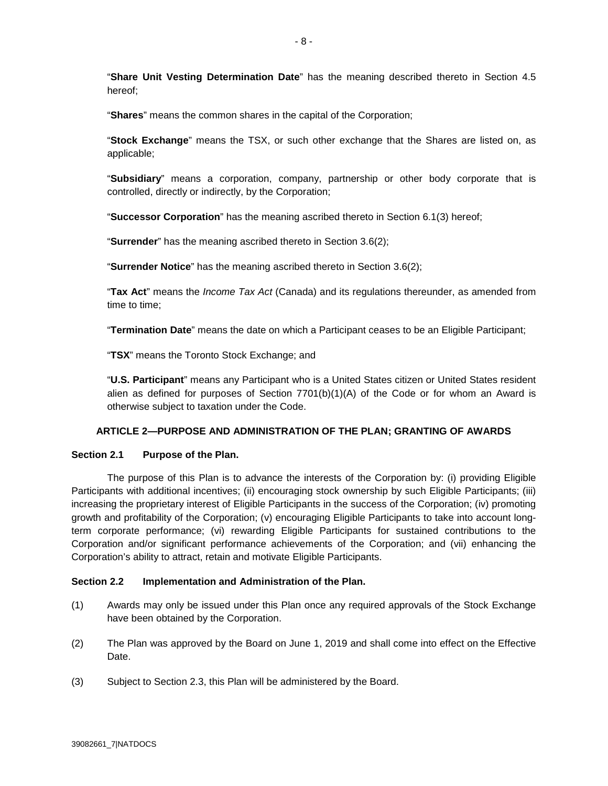"**Share Unit Vesting Determination Date**" has the meaning described thereto in Section 4.5 hereof;

"**Shares**" means the common shares in the capital of the Corporation;

"**Stock Exchange**" means the TSX, or such other exchange that the Shares are listed on, as applicable;

"**Subsidiary**" means a corporation, company, partnership or other body corporate that is controlled, directly or indirectly, by the Corporation;

"**Successor Corporation**" has the meaning ascribed thereto in Section 6.1(3) hereof;

"**Surrender**" has the meaning ascribed thereto in Section 3.6(2);

"**Surrender Notice**" has the meaning ascribed thereto in Section 3.6(2);

"**Tax Act**" means the *Income Tax Act* (Canada) and its regulations thereunder, as amended from time to time;

"**Termination Date**" means the date on which a Participant ceases to be an Eligible Participant;

"**TSX**" means the Toronto Stock Exchange; and

"**U.S. Participant**" means any Participant who is a United States citizen or United States resident alien as defined for purposes of Section  $7701(b)(1)(A)$  of the Code or for whom an Award is otherwise subject to taxation under the Code.

### **ARTICLE 2—PURPOSE AND ADMINISTRATION OF THE PLAN; GRANTING OF AWARDS**

### **Section 2.1 Purpose of the Plan.**

The purpose of this Plan is to advance the interests of the Corporation by: (i) providing Eligible Participants with additional incentives; (ii) encouraging stock ownership by such Eligible Participants; (iii) increasing the proprietary interest of Eligible Participants in the success of the Corporation; (iv) promoting growth and profitability of the Corporation; (v) encouraging Eligible Participants to take into account longterm corporate performance; (vi) rewarding Eligible Participants for sustained contributions to the Corporation and/or significant performance achievements of the Corporation; and (vii) enhancing the Corporation's ability to attract, retain and motivate Eligible Participants.

### **Section 2.2 Implementation and Administration of the Plan.**

- (1) Awards may only be issued under this Plan once any required approvals of the Stock Exchange have been obtained by the Corporation.
- (2) The Plan was approved by the Board on June 1, 2019 and shall come into effect on the Effective Date.
- (3) Subject to Section 2.3, this Plan will be administered by the Board.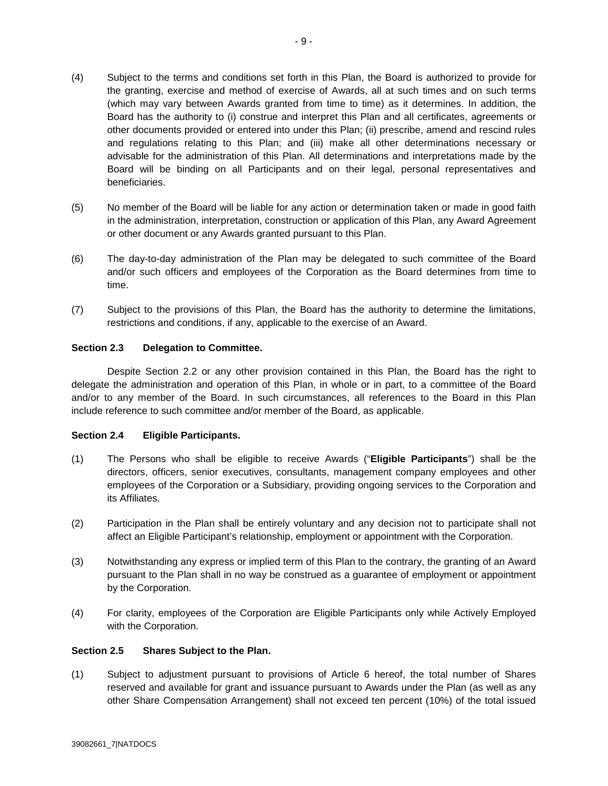- (4) Subject to the terms and conditions set forth in this Plan, the Board is authorized to provide for the granting, exercise and method of exercise of Awards, all at such times and on such terms (which may vary between Awards granted from time to time) as it determines. In addition, the Board has the authority to (i) construe and interpret this Plan and all certificates, agreements or other documents provided or entered into under this Plan; (ii) prescribe, amend and rescind rules and regulations relating to this Plan; and (iii) make all other determinations necessary or advisable for the administration of this Plan. All determinations and interpretations made by the Board will be binding on all Participants and on their legal, personal representatives and beneficiaries.
- (5) No member of the Board will be liable for any action or determination taken or made in good faith in the administration, interpretation, construction or application of this Plan, any Award Agreement or other document or any Awards granted pursuant to this Plan.
- (6) The day-to-day administration of the Plan may be delegated to such committee of the Board and/or such officers and employees of the Corporation as the Board determines from time to time.
- (7) Subject to the provisions of this Plan, the Board has the authority to determine the limitations, restrictions and conditions, if any, applicable to the exercise of an Award.

## **Section 2.3 Delegation to Committee.**

Despite Section 2.2 or any other provision contained in this Plan, the Board has the right to delegate the administration and operation of this Plan, in whole or in part, to a committee of the Board and/or to any member of the Board. In such circumstances, all references to the Board in this Plan include reference to such committee and/or member of the Board, as applicable.

### **Section 2.4 Eligible Participants.**

- (1) The Persons who shall be eligible to receive Awards ("**Eligible Participants**") shall be the directors, officers, senior executives, consultants, management company employees and other employees of the Corporation or a Subsidiary, providing ongoing services to the Corporation and its Affiliates.
- (2) Participation in the Plan shall be entirely voluntary and any decision not to participate shall not affect an Eligible Participant's relationship, employment or appointment with the Corporation.
- (3) Notwithstanding any express or implied term of this Plan to the contrary, the granting of an Award pursuant to the Plan shall in no way be construed as a guarantee of employment or appointment by the Corporation.
- (4) For clarity, employees of the Corporation are Eligible Participants only while Actively Employed with the Corporation.

## **Section 2.5 Shares Subject to the Plan.**

(1) Subject to adjustment pursuant to provisions of Article 6 hereof, the total number of Shares reserved and available for grant and issuance pursuant to Awards under the Plan (as well as any other Share Compensation Arrangement) shall not exceed ten percent (10%) of the total issued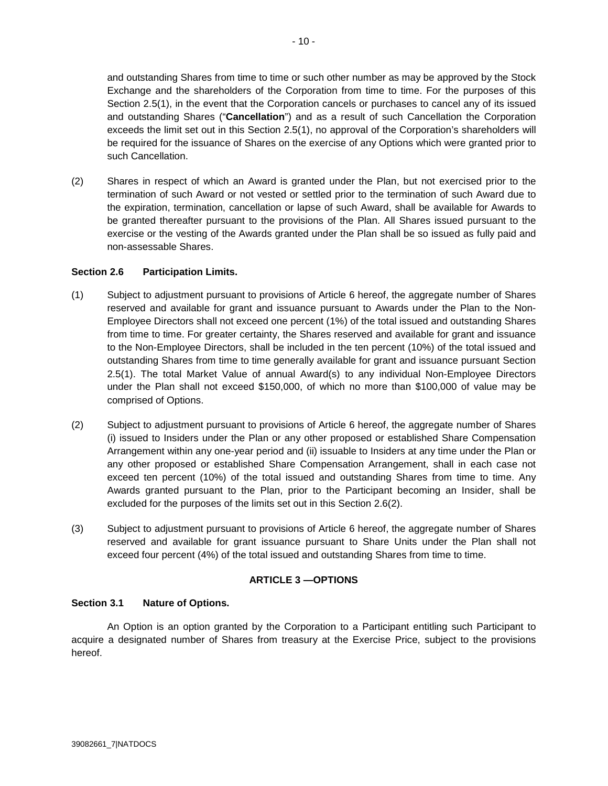and outstanding Shares from time to time or such other number as may be approved by the Stock Exchange and the shareholders of the Corporation from time to time. For the purposes of this Section 2.5(1), in the event that the Corporation cancels or purchases to cancel any of its issued and outstanding Shares ("**Cancellation**") and as a result of such Cancellation the Corporation exceeds the limit set out in this Section 2.5(1), no approval of the Corporation's shareholders will be required for the issuance of Shares on the exercise of any Options which were granted prior to such Cancellation.

(2) Shares in respect of which an Award is granted under the Plan, but not exercised prior to the termination of such Award or not vested or settled prior to the termination of such Award due to the expiration, termination, cancellation or lapse of such Award, shall be available for Awards to be granted thereafter pursuant to the provisions of the Plan. All Shares issued pursuant to the exercise or the vesting of the Awards granted under the Plan shall be so issued as fully paid and non-assessable Shares.

## **Section 2.6 Participation Limits.**

- (1) Subject to adjustment pursuant to provisions of Article 6 hereof, the aggregate number of Shares reserved and available for grant and issuance pursuant to Awards under the Plan to the Non-Employee Directors shall not exceed one percent (1%) of the total issued and outstanding Shares from time to time. For greater certainty, the Shares reserved and available for grant and issuance to the Non-Employee Directors, shall be included in the ten percent (10%) of the total issued and outstanding Shares from time to time generally available for grant and issuance pursuant Section 2.5(1). The total Market Value of annual Award(s) to any individual Non-Employee Directors under the Plan shall not exceed \$150,000, of which no more than \$100,000 of value may be comprised of Options.
- (2) Subject to adjustment pursuant to provisions of Article 6 hereof, the aggregate number of Shares (i) issued to Insiders under the Plan or any other proposed or established Share Compensation Arrangement within any one-year period and (ii) issuable to Insiders at any time under the Plan or any other proposed or established Share Compensation Arrangement, shall in each case not exceed ten percent (10%) of the total issued and outstanding Shares from time to time. Any Awards granted pursuant to the Plan, prior to the Participant becoming an Insider, shall be excluded for the purposes of the limits set out in this Section 2.6(2).
- (3) Subject to adjustment pursuant to provisions of Article 6 hereof, the aggregate number of Shares reserved and available for grant issuance pursuant to Share Units under the Plan shall not exceed four percent (4%) of the total issued and outstanding Shares from time to time.

# **ARTICLE 3 —OPTIONS**

### **Section 3.1 Nature of Options.**

An Option is an option granted by the Corporation to a Participant entitling such Participant to acquire a designated number of Shares from treasury at the Exercise Price, subject to the provisions hereof.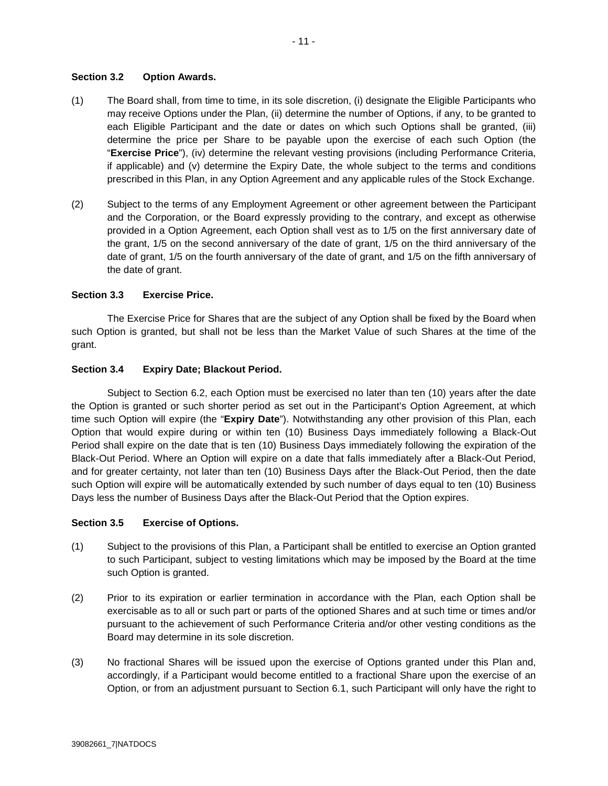## **Section 3.2 Option Awards.**

- (1) The Board shall, from time to time, in its sole discretion, (i) designate the Eligible Participants who may receive Options under the Plan, (ii) determine the number of Options, if any, to be granted to each Eligible Participant and the date or dates on which such Options shall be granted, (iii) determine the price per Share to be payable upon the exercise of each such Option (the "**Exercise Price**"), (iv) determine the relevant vesting provisions (including Performance Criteria, if applicable) and (v) determine the Expiry Date, the whole subject to the terms and conditions prescribed in this Plan, in any Option Agreement and any applicable rules of the Stock Exchange.
- (2) Subject to the terms of any Employment Agreement or other agreement between the Participant and the Corporation, or the Board expressly providing to the contrary, and except as otherwise provided in a Option Agreement, each Option shall vest as to 1/5 on the first anniversary date of the grant, 1/5 on the second anniversary of the date of grant, 1/5 on the third anniversary of the date of grant, 1/5 on the fourth anniversary of the date of grant, and 1/5 on the fifth anniversary of the date of grant.

## **Section 3.3 Exercise Price.**

The Exercise Price for Shares that are the subject of any Option shall be fixed by the Board when such Option is granted, but shall not be less than the Market Value of such Shares at the time of the grant.

## **Section 3.4 Expiry Date; Blackout Period.**

Subject to Section 6.2, each Option must be exercised no later than ten (10) years after the date the Option is granted or such shorter period as set out in the Participant's Option Agreement, at which time such Option will expire (the "**Expiry Date**"). Notwithstanding any other provision of this Plan, each Option that would expire during or within ten (10) Business Days immediately following a Black-Out Period shall expire on the date that is ten (10) Business Days immediately following the expiration of the Black-Out Period. Where an Option will expire on a date that falls immediately after a Black-Out Period, and for greater certainty, not later than ten (10) Business Days after the Black-Out Period, then the date such Option will expire will be automatically extended by such number of days equal to ten (10) Business Days less the number of Business Days after the Black-Out Period that the Option expires.

### **Section 3.5 Exercise of Options.**

- (1) Subject to the provisions of this Plan, a Participant shall be entitled to exercise an Option granted to such Participant, subject to vesting limitations which may be imposed by the Board at the time such Option is granted.
- (2) Prior to its expiration or earlier termination in accordance with the Plan, each Option shall be exercisable as to all or such part or parts of the optioned Shares and at such time or times and/or pursuant to the achievement of such Performance Criteria and/or other vesting conditions as the Board may determine in its sole discretion.
- (3) No fractional Shares will be issued upon the exercise of Options granted under this Plan and, accordingly, if a Participant would become entitled to a fractional Share upon the exercise of an Option, or from an adjustment pursuant to Section 6.1, such Participant will only have the right to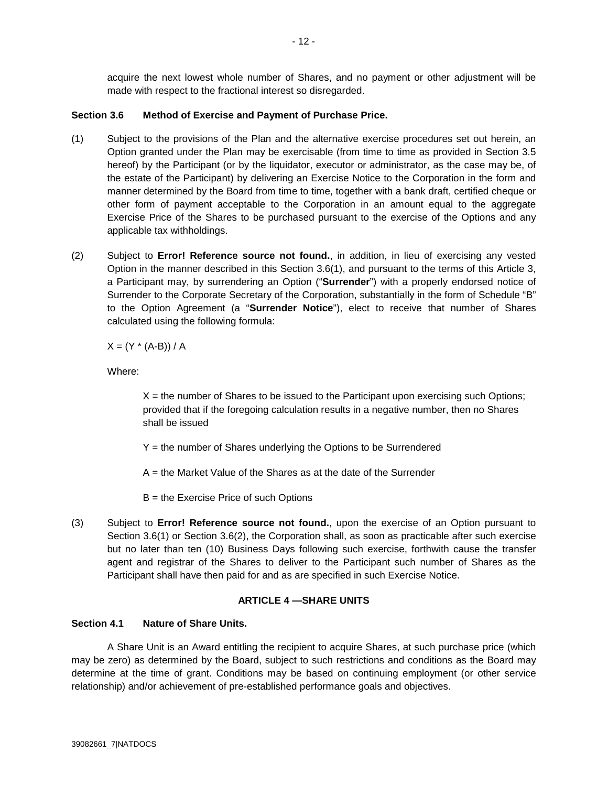acquire the next lowest whole number of Shares, and no payment or other adjustment will be made with respect to the fractional interest so disregarded.

# **Section 3.6 Method of Exercise and Payment of Purchase Price.**

- (1) Subject to the provisions of the Plan and the alternative exercise procedures set out herein, an Option granted under the Plan may be exercisable (from time to time as provided in Section 3.5 hereof) by the Participant (or by the liquidator, executor or administrator, as the case may be, of the estate of the Participant) by delivering an Exercise Notice to the Corporation in the form and manner determined by the Board from time to time, together with a bank draft, certified cheque or other form of payment acceptable to the Corporation in an amount equal to the aggregate Exercise Price of the Shares to be purchased pursuant to the exercise of the Options and any applicable tax withholdings.
- (2) Subject to **Error! Reference source not found.**, in addition, in lieu of exercising any vested Option in the manner described in this Section 3.6(1), and pursuant to the terms of this Article 3, a Participant may, by surrendering an Option ("**Surrender**") with a properly endorsed notice of Surrender to the Corporate Secretary of the Corporation, substantially in the form of Schedule "B" to the Option Agreement (a "**Surrender Notice**"), elect to receive that number of Shares calculated using the following formula:

 $X = (Y * (A-B)) / A$ 

Where:

 $X =$  the number of Shares to be issued to the Participant upon exercising such Options; provided that if the foregoing calculation results in a negative number, then no Shares shall be issued

Y = the number of Shares underlying the Options to be Surrendered

A = the Market Value of the Shares as at the date of the Surrender

B = the Exercise Price of such Options

(3) Subject to **Error! Reference source not found.**, upon the exercise of an Option pursuant to Section 3.6(1) or Section 3.6(2), the Corporation shall, as soon as practicable after such exercise but no later than ten (10) Business Days following such exercise, forthwith cause the transfer agent and registrar of the Shares to deliver to the Participant such number of Shares as the Participant shall have then paid for and as are specified in such Exercise Notice.

# **ARTICLE 4 —SHARE UNITS**

# **Section 4.1 Nature of Share Units.**

A Share Unit is an Award entitling the recipient to acquire Shares, at such purchase price (which may be zero) as determined by the Board, subject to such restrictions and conditions as the Board may determine at the time of grant. Conditions may be based on continuing employment (or other service relationship) and/or achievement of pre-established performance goals and objectives.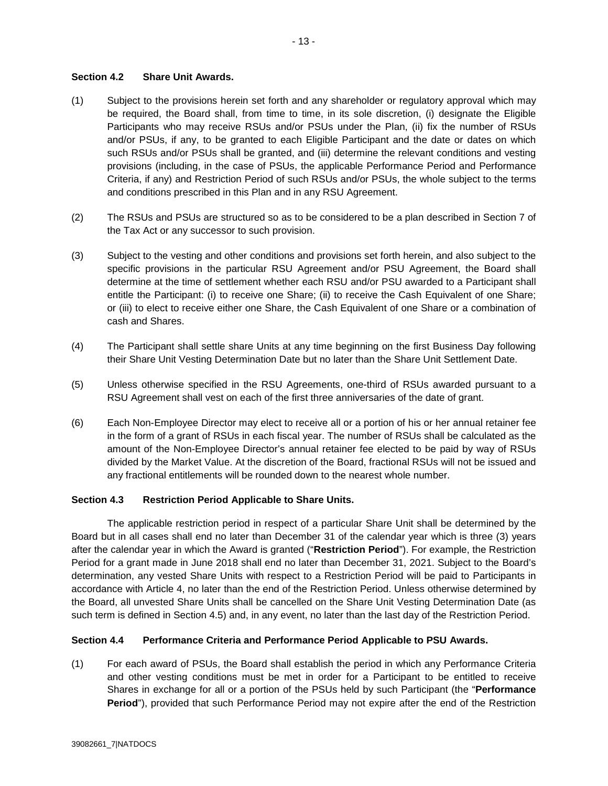## **Section 4.2 Share Unit Awards.**

- (1) Subject to the provisions herein set forth and any shareholder or regulatory approval which may be required, the Board shall, from time to time, in its sole discretion, (i) designate the Eligible Participants who may receive RSUs and/or PSUs under the Plan, (ii) fix the number of RSUs and/or PSUs, if any, to be granted to each Eligible Participant and the date or dates on which such RSUs and/or PSUs shall be granted, and (iii) determine the relevant conditions and vesting provisions (including, in the case of PSUs, the applicable Performance Period and Performance Criteria, if any) and Restriction Period of such RSUs and/or PSUs, the whole subject to the terms and conditions prescribed in this Plan and in any RSU Agreement.
- (2) The RSUs and PSUs are structured so as to be considered to be a plan described in Section 7 of the Tax Act or any successor to such provision.
- (3) Subject to the vesting and other conditions and provisions set forth herein, and also subject to the specific provisions in the particular RSU Agreement and/or PSU Agreement, the Board shall determine at the time of settlement whether each RSU and/or PSU awarded to a Participant shall entitle the Participant: (i) to receive one Share; (ii) to receive the Cash Equivalent of one Share; or (iii) to elect to receive either one Share, the Cash Equivalent of one Share or a combination of cash and Shares.
- (4) The Participant shall settle share Units at any time beginning on the first Business Day following their Share Unit Vesting Determination Date but no later than the Share Unit Settlement Date.
- (5) Unless otherwise specified in the RSU Agreements, one-third of RSUs awarded pursuant to a RSU Agreement shall vest on each of the first three anniversaries of the date of grant.
- (6) Each Non-Employee Director may elect to receive all or a portion of his or her annual retainer fee in the form of a grant of RSUs in each fiscal year. The number of RSUs shall be calculated as the amount of the Non-Employee Director's annual retainer fee elected to be paid by way of RSUs divided by the Market Value. At the discretion of the Board, fractional RSUs will not be issued and any fractional entitlements will be rounded down to the nearest whole number.

### **Section 4.3 Restriction Period Applicable to Share Units.**

The applicable restriction period in respect of a particular Share Unit shall be determined by the Board but in all cases shall end no later than December 31 of the calendar year which is three (3) years after the calendar year in which the Award is granted ("**Restriction Period**"). For example, the Restriction Period for a grant made in June 2018 shall end no later than December 31, 2021. Subject to the Board's determination, any vested Share Units with respect to a Restriction Period will be paid to Participants in accordance with Article 4, no later than the end of the Restriction Period. Unless otherwise determined by the Board, all unvested Share Units shall be cancelled on the Share Unit Vesting Determination Date (as such term is defined in Section 4.5) and, in any event, no later than the last day of the Restriction Period.

### **Section 4.4 Performance Criteria and Performance Period Applicable to PSU Awards.**

(1) For each award of PSUs, the Board shall establish the period in which any Performance Criteria and other vesting conditions must be met in order for a Participant to be entitled to receive Shares in exchange for all or a portion of the PSUs held by such Participant (the "**Performance Period**"), provided that such Performance Period may not expire after the end of the Restriction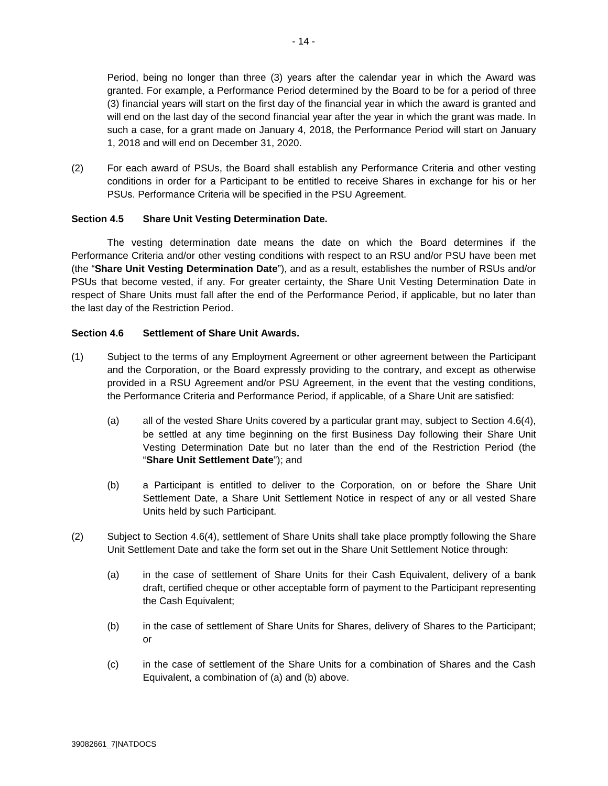Period, being no longer than three (3) years after the calendar year in which the Award was granted. For example, a Performance Period determined by the Board to be for a period of three (3) financial years will start on the first day of the financial year in which the award is granted and will end on the last day of the second financial year after the year in which the grant was made. In such a case, for a grant made on January 4, 2018, the Performance Period will start on January 1, 2018 and will end on December 31, 2020.

(2) For each award of PSUs, the Board shall establish any Performance Criteria and other vesting conditions in order for a Participant to be entitled to receive Shares in exchange for his or her PSUs. Performance Criteria will be specified in the PSU Agreement.

## **Section 4.5 Share Unit Vesting Determination Date.**

The vesting determination date means the date on which the Board determines if the Performance Criteria and/or other vesting conditions with respect to an RSU and/or PSU have been met (the "**Share Unit Vesting Determination Date**"), and as a result, establishes the number of RSUs and/or PSUs that become vested, if any. For greater certainty, the Share Unit Vesting Determination Date in respect of Share Units must fall after the end of the Performance Period, if applicable, but no later than the last day of the Restriction Period.

### **Section 4.6 Settlement of Share Unit Awards.**

- (1) Subject to the terms of any Employment Agreement or other agreement between the Participant and the Corporation, or the Board expressly providing to the contrary, and except as otherwise provided in a RSU Agreement and/or PSU Agreement, in the event that the vesting conditions, the Performance Criteria and Performance Period, if applicable, of a Share Unit are satisfied:
	- (a) all of the vested Share Units covered by a particular grant may, subject to Section 4.6(4), be settled at any time beginning on the first Business Day following their Share Unit Vesting Determination Date but no later than the end of the Restriction Period (the "**Share Unit Settlement Date**"); and
	- (b) a Participant is entitled to deliver to the Corporation, on or before the Share Unit Settlement Date, a Share Unit Settlement Notice in respect of any or all vested Share Units held by such Participant.
- (2) Subject to Section 4.6(4), settlement of Share Units shall take place promptly following the Share Unit Settlement Date and take the form set out in the Share Unit Settlement Notice through:
	- (a) in the case of settlement of Share Units for their Cash Equivalent, delivery of a bank draft, certified cheque or other acceptable form of payment to the Participant representing the Cash Equivalent;
	- (b) in the case of settlement of Share Units for Shares, delivery of Shares to the Participant; or
	- (c) in the case of settlement of the Share Units for a combination of Shares and the Cash Equivalent, a combination of (a) and (b) above.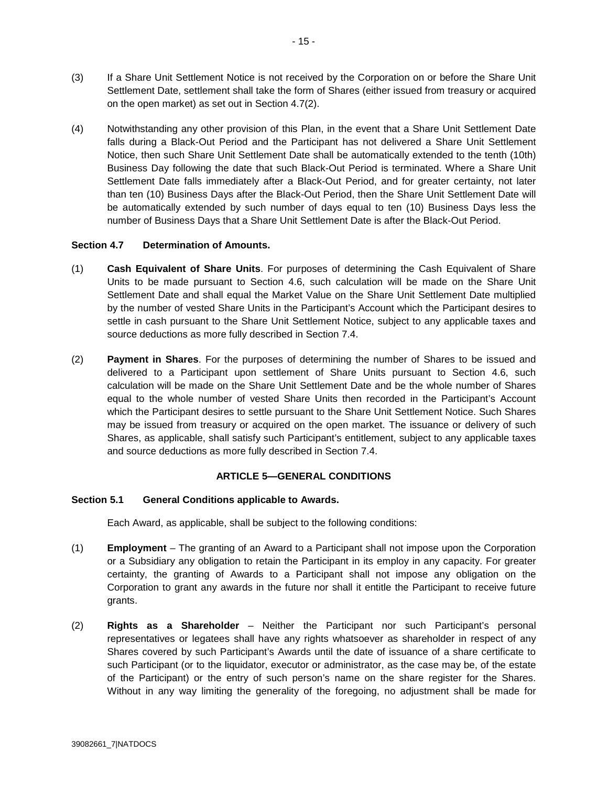- (3) If a Share Unit Settlement Notice is not received by the Corporation on or before the Share Unit Settlement Date, settlement shall take the form of Shares (either issued from treasury or acquired on the open market) as set out in Section 4.7(2).
- (4) Notwithstanding any other provision of this Plan, in the event that a Share Unit Settlement Date falls during a Black-Out Period and the Participant has not delivered a Share Unit Settlement Notice, then such Share Unit Settlement Date shall be automatically extended to the tenth (10th) Business Day following the date that such Black-Out Period is terminated. Where a Share Unit Settlement Date falls immediately after a Black-Out Period, and for greater certainty, not later than ten (10) Business Days after the Black-Out Period, then the Share Unit Settlement Date will be automatically extended by such number of days equal to ten (10) Business Days less the number of Business Days that a Share Unit Settlement Date is after the Black-Out Period.

## **Section 4.7 Determination of Amounts.**

- (1) **Cash Equivalent of Share Units**. For purposes of determining the Cash Equivalent of Share Units to be made pursuant to Section 4.6, such calculation will be made on the Share Unit Settlement Date and shall equal the Market Value on the Share Unit Settlement Date multiplied by the number of vested Share Units in the Participant's Account which the Participant desires to settle in cash pursuant to the Share Unit Settlement Notice, subject to any applicable taxes and source deductions as more fully described in Section 7.4.
- (2) **Payment in Shares**. For the purposes of determining the number of Shares to be issued and delivered to a Participant upon settlement of Share Units pursuant to Section 4.6, such calculation will be made on the Share Unit Settlement Date and be the whole number of Shares equal to the whole number of vested Share Units then recorded in the Participant's Account which the Participant desires to settle pursuant to the Share Unit Settlement Notice. Such Shares may be issued from treasury or acquired on the open market. The issuance or delivery of such Shares, as applicable, shall satisfy such Participant's entitlement, subject to any applicable taxes and source deductions as more fully described in Section 7.4.

# **ARTICLE 5—GENERAL CONDITIONS**

### **Section 5.1 General Conditions applicable to Awards.**

Each Award, as applicable, shall be subject to the following conditions:

- (1) **Employment** The granting of an Award to a Participant shall not impose upon the Corporation or a Subsidiary any obligation to retain the Participant in its employ in any capacity. For greater certainty, the granting of Awards to a Participant shall not impose any obligation on the Corporation to grant any awards in the future nor shall it entitle the Participant to receive future grants.
- (2) **Rights as a Shareholder** Neither the Participant nor such Participant's personal representatives or legatees shall have any rights whatsoever as shareholder in respect of any Shares covered by such Participant's Awards until the date of issuance of a share certificate to such Participant (or to the liquidator, executor or administrator, as the case may be, of the estate of the Participant) or the entry of such person's name on the share register for the Shares. Without in any way limiting the generality of the foregoing, no adjustment shall be made for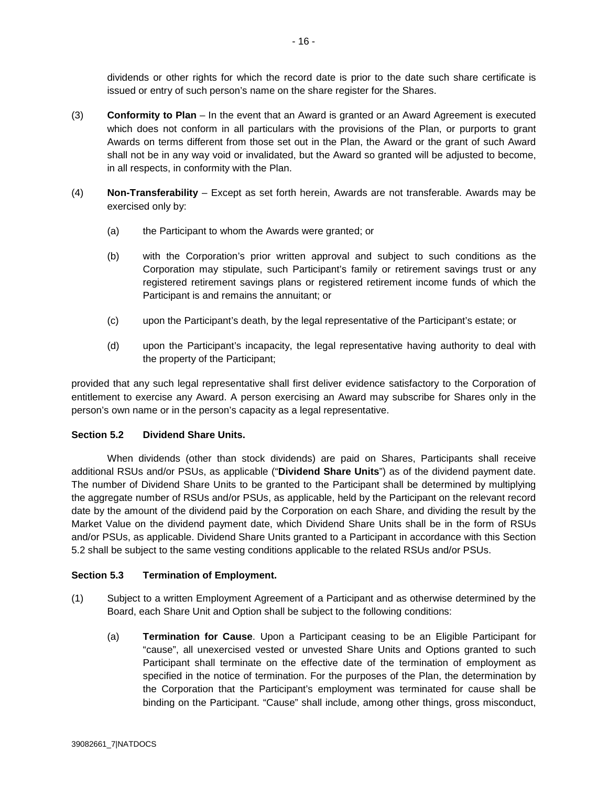dividends or other rights for which the record date is prior to the date such share certificate is issued or entry of such person's name on the share register for the Shares.

- (3) **Conformity to Plan** In the event that an Award is granted or an Award Agreement is executed which does not conform in all particulars with the provisions of the Plan, or purports to grant Awards on terms different from those set out in the Plan, the Award or the grant of such Award shall not be in any way void or invalidated, but the Award so granted will be adjusted to become, in all respects, in conformity with the Plan.
- (4) **Non-Transferability** Except as set forth herein, Awards are not transferable. Awards may be exercised only by:
	- (a) the Participant to whom the Awards were granted; or
	- (b) with the Corporation's prior written approval and subject to such conditions as the Corporation may stipulate, such Participant's family or retirement savings trust or any registered retirement savings plans or registered retirement income funds of which the Participant is and remains the annuitant; or
	- (c) upon the Participant's death, by the legal representative of the Participant's estate; or
	- (d) upon the Participant's incapacity, the legal representative having authority to deal with the property of the Participant;

provided that any such legal representative shall first deliver evidence satisfactory to the Corporation of entitlement to exercise any Award. A person exercising an Award may subscribe for Shares only in the person's own name or in the person's capacity as a legal representative.

# **Section 5.2 Dividend Share Units.**

When dividends (other than stock dividends) are paid on Shares, Participants shall receive additional RSUs and/or PSUs, as applicable ("**Dividend Share Units**") as of the dividend payment date. The number of Dividend Share Units to be granted to the Participant shall be determined by multiplying the aggregate number of RSUs and/or PSUs, as applicable, held by the Participant on the relevant record date by the amount of the dividend paid by the Corporation on each Share, and dividing the result by the Market Value on the dividend payment date, which Dividend Share Units shall be in the form of RSUs and/or PSUs, as applicable. Dividend Share Units granted to a Participant in accordance with this Section 5.2 shall be subject to the same vesting conditions applicable to the related RSUs and/or PSUs.

# **Section 5.3 Termination of Employment.**

- (1) Subject to a written Employment Agreement of a Participant and as otherwise determined by the Board, each Share Unit and Option shall be subject to the following conditions:
	- (a) **Termination for Cause**. Upon a Participant ceasing to be an Eligible Participant for "cause", all unexercised vested or unvested Share Units and Options granted to such Participant shall terminate on the effective date of the termination of employment as specified in the notice of termination. For the purposes of the Plan, the determination by the Corporation that the Participant's employment was terminated for cause shall be binding on the Participant. "Cause" shall include, among other things, gross misconduct,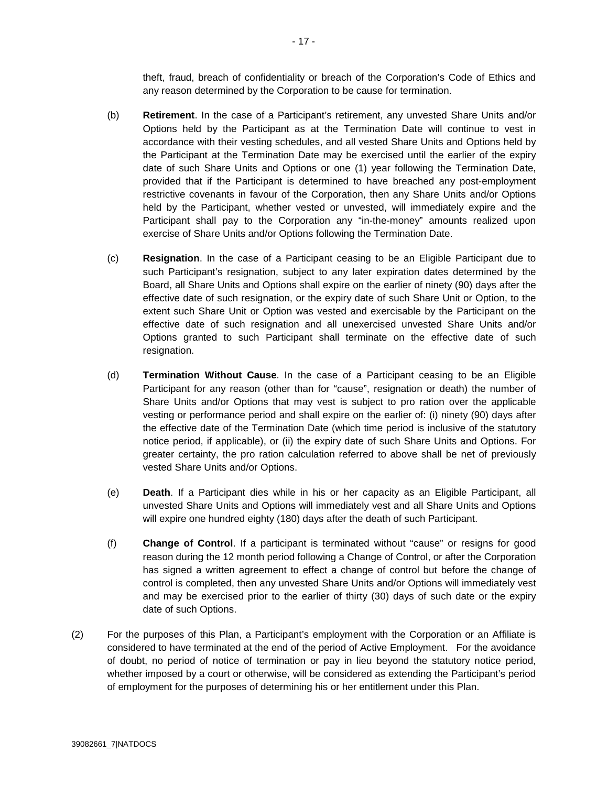theft, fraud, breach of confidentiality or breach of the Corporation's Code of Ethics and any reason determined by the Corporation to be cause for termination.

- (b) **Retirement**. In the case of a Participant's retirement, any unvested Share Units and/or Options held by the Participant as at the Termination Date will continue to vest in accordance with their vesting schedules, and all vested Share Units and Options held by the Participant at the Termination Date may be exercised until the earlier of the expiry date of such Share Units and Options or one (1) year following the Termination Date, provided that if the Participant is determined to have breached any post-employment restrictive covenants in favour of the Corporation, then any Share Units and/or Options held by the Participant, whether vested or unvested, will immediately expire and the Participant shall pay to the Corporation any "in-the-money" amounts realized upon exercise of Share Units and/or Options following the Termination Date.
- (c) **Resignation**. In the case of a Participant ceasing to be an Eligible Participant due to such Participant's resignation, subject to any later expiration dates determined by the Board, all Share Units and Options shall expire on the earlier of ninety (90) days after the effective date of such resignation, or the expiry date of such Share Unit or Option, to the extent such Share Unit or Option was vested and exercisable by the Participant on the effective date of such resignation and all unexercised unvested Share Units and/or Options granted to such Participant shall terminate on the effective date of such resignation.
- (d) **Termination Without Cause**. In the case of a Participant ceasing to be an Eligible Participant for any reason (other than for "cause", resignation or death) the number of Share Units and/or Options that may vest is subject to pro ration over the applicable vesting or performance period and shall expire on the earlier of: (i) ninety (90) days after the effective date of the Termination Date (which time period is inclusive of the statutory notice period, if applicable), or (ii) the expiry date of such Share Units and Options. For greater certainty, the pro ration calculation referred to above shall be net of previously vested Share Units and/or Options.
- (e) **Death**. If a Participant dies while in his or her capacity as an Eligible Participant, all unvested Share Units and Options will immediately vest and all Share Units and Options will expire one hundred eighty (180) days after the death of such Participant.
- (f) **Change of Control**. If a participant is terminated without "cause" or resigns for good reason during the 12 month period following a Change of Control, or after the Corporation has signed a written agreement to effect a change of control but before the change of control is completed, then any unvested Share Units and/or Options will immediately vest and may be exercised prior to the earlier of thirty (30) days of such date or the expiry date of such Options.
- (2) For the purposes of this Plan, a Participant's employment with the Corporation or an Affiliate is considered to have terminated at the end of the period of Active Employment. For the avoidance of doubt, no period of notice of termination or pay in lieu beyond the statutory notice period, whether imposed by a court or otherwise, will be considered as extending the Participant's period of employment for the purposes of determining his or her entitlement under this Plan.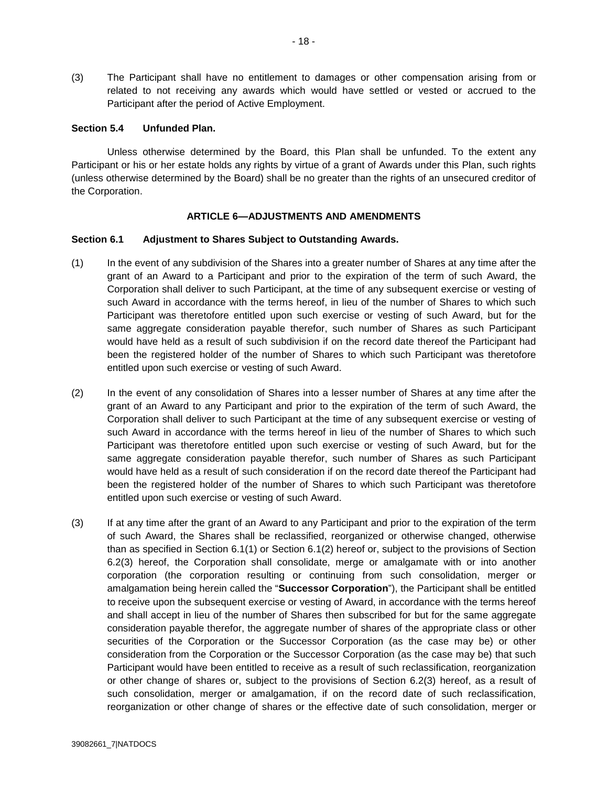(3) The Participant shall have no entitlement to damages or other compensation arising from or related to not receiving any awards which would have settled or vested or accrued to the Participant after the period of Active Employment.

#### **Section 5.4 Unfunded Plan.**

Unless otherwise determined by the Board, this Plan shall be unfunded. To the extent any Participant or his or her estate holds any rights by virtue of a grant of Awards under this Plan, such rights (unless otherwise determined by the Board) shall be no greater than the rights of an unsecured creditor of the Corporation.

### **ARTICLE 6—ADJUSTMENTS AND AMENDMENTS**

#### **Section 6.1 Adjustment to Shares Subject to Outstanding Awards.**

- (1) In the event of any subdivision of the Shares into a greater number of Shares at any time after the grant of an Award to a Participant and prior to the expiration of the term of such Award, the Corporation shall deliver to such Participant, at the time of any subsequent exercise or vesting of such Award in accordance with the terms hereof, in lieu of the number of Shares to which such Participant was theretofore entitled upon such exercise or vesting of such Award, but for the same aggregate consideration payable therefor, such number of Shares as such Participant would have held as a result of such subdivision if on the record date thereof the Participant had been the registered holder of the number of Shares to which such Participant was theretofore entitled upon such exercise or vesting of such Award.
- (2) In the event of any consolidation of Shares into a lesser number of Shares at any time after the grant of an Award to any Participant and prior to the expiration of the term of such Award, the Corporation shall deliver to such Participant at the time of any subsequent exercise or vesting of such Award in accordance with the terms hereof in lieu of the number of Shares to which such Participant was theretofore entitled upon such exercise or vesting of such Award, but for the same aggregate consideration payable therefor, such number of Shares as such Participant would have held as a result of such consideration if on the record date thereof the Participant had been the registered holder of the number of Shares to which such Participant was theretofore entitled upon such exercise or vesting of such Award.
- (3) If at any time after the grant of an Award to any Participant and prior to the expiration of the term of such Award, the Shares shall be reclassified, reorganized or otherwise changed, otherwise than as specified in Section 6.1(1) or Section 6.1(2) hereof or, subject to the provisions of Section 6.2(3) hereof, the Corporation shall consolidate, merge or amalgamate with or into another corporation (the corporation resulting or continuing from such consolidation, merger or amalgamation being herein called the "**Successor Corporation**"), the Participant shall be entitled to receive upon the subsequent exercise or vesting of Award, in accordance with the terms hereof and shall accept in lieu of the number of Shares then subscribed for but for the same aggregate consideration payable therefor, the aggregate number of shares of the appropriate class or other securities of the Corporation or the Successor Corporation (as the case may be) or other consideration from the Corporation or the Successor Corporation (as the case may be) that such Participant would have been entitled to receive as a result of such reclassification, reorganization or other change of shares or, subject to the provisions of Section 6.2(3) hereof, as a result of such consolidation, merger or amalgamation, if on the record date of such reclassification, reorganization or other change of shares or the effective date of such consolidation, merger or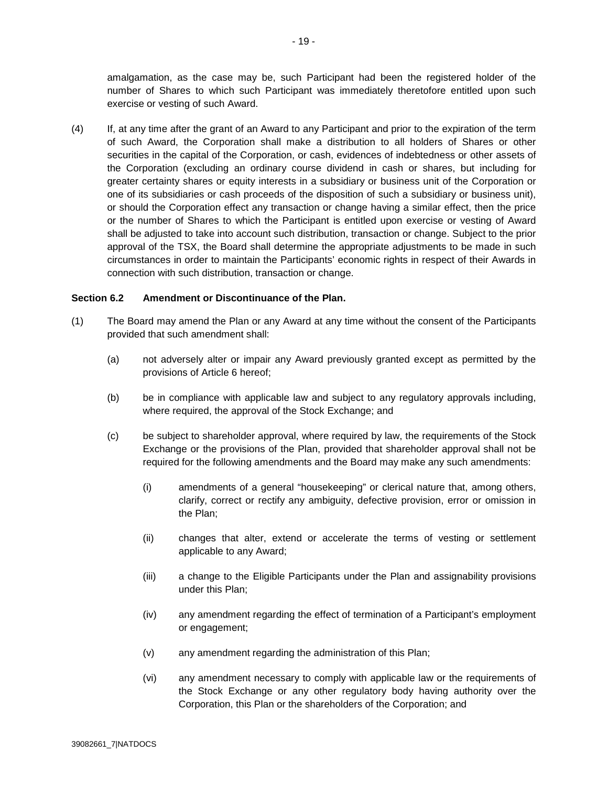amalgamation, as the case may be, such Participant had been the registered holder of the number of Shares to which such Participant was immediately theretofore entitled upon such exercise or vesting of such Award.

(4) If, at any time after the grant of an Award to any Participant and prior to the expiration of the term of such Award, the Corporation shall make a distribution to all holders of Shares or other securities in the capital of the Corporation, or cash, evidences of indebtedness or other assets of the Corporation (excluding an ordinary course dividend in cash or shares, but including for greater certainty shares or equity interests in a subsidiary or business unit of the Corporation or one of its subsidiaries or cash proceeds of the disposition of such a subsidiary or business unit), or should the Corporation effect any transaction or change having a similar effect, then the price or the number of Shares to which the Participant is entitled upon exercise or vesting of Award shall be adjusted to take into account such distribution, transaction or change. Subject to the prior approval of the TSX, the Board shall determine the appropriate adjustments to be made in such circumstances in order to maintain the Participants' economic rights in respect of their Awards in connection with such distribution, transaction or change.

### **Section 6.2 Amendment or Discontinuance of the Plan.**

- (1) The Board may amend the Plan or any Award at any time without the consent of the Participants provided that such amendment shall:
	- (a) not adversely alter or impair any Award previously granted except as permitted by the provisions of Article 6 hereof;
	- (b) be in compliance with applicable law and subject to any regulatory approvals including, where required, the approval of the Stock Exchange; and
	- (c) be subject to shareholder approval, where required by law, the requirements of the Stock Exchange or the provisions of the Plan, provided that shareholder approval shall not be required for the following amendments and the Board may make any such amendments:
		- (i) amendments of a general "housekeeping" or clerical nature that, among others, clarify, correct or rectify any ambiguity, defective provision, error or omission in the Plan;
		- (ii) changes that alter, extend or accelerate the terms of vesting or settlement applicable to any Award;
		- (iii) a change to the Eligible Participants under the Plan and assignability provisions under this Plan;
		- (iv) any amendment regarding the effect of termination of a Participant's employment or engagement;
		- (v) any amendment regarding the administration of this Plan;
		- (vi) any amendment necessary to comply with applicable law or the requirements of the Stock Exchange or any other regulatory body having authority over the Corporation, this Plan or the shareholders of the Corporation; and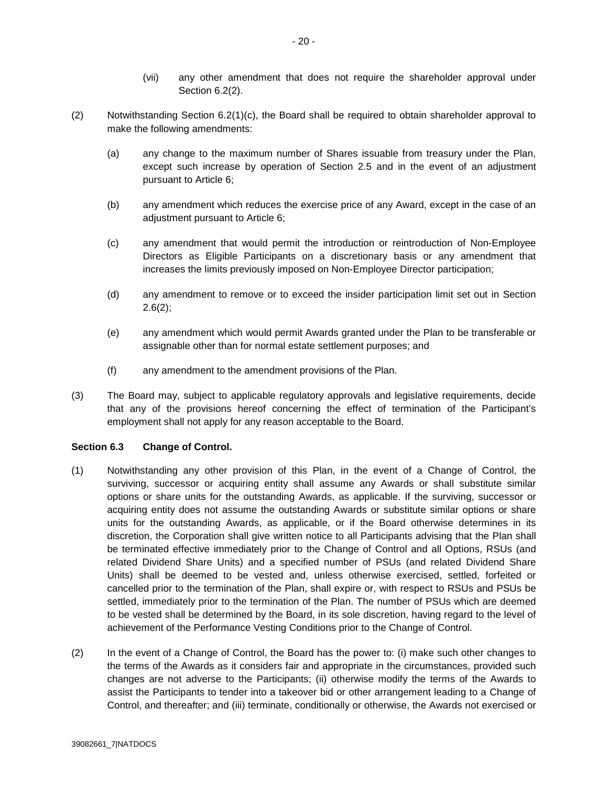- (vii) any other amendment that does not require the shareholder approval under Section 6.2(2).
- (2) Notwithstanding Section 6.2(1)(c), the Board shall be required to obtain shareholder approval to make the following amendments:
	- (a) any change to the maximum number of Shares issuable from treasury under the Plan, except such increase by operation of Section 2.5 and in the event of an adjustment pursuant to Article 6;
	- (b) any amendment which reduces the exercise price of any Award, except in the case of an adjustment pursuant to Article 6;
	- (c) any amendment that would permit the introduction or reintroduction of Non-Employee Directors as Eligible Participants on a discretionary basis or any amendment that increases the limits previously imposed on Non-Employee Director participation;
	- (d) any amendment to remove or to exceed the insider participation limit set out in Section  $2.6(2)$ ;
	- (e) any amendment which would permit Awards granted under the Plan to be transferable or assignable other than for normal estate settlement purposes; and
	- (f) any amendment to the amendment provisions of the Plan.
- (3) The Board may, subject to applicable regulatory approvals and legislative requirements, decide that any of the provisions hereof concerning the effect of termination of the Participant's employment shall not apply for any reason acceptable to the Board.

### **Section 6.3 Change of Control.**

- (1) Notwithstanding any other provision of this Plan, in the event of a Change of Control, the surviving, successor or acquiring entity shall assume any Awards or shall substitute similar options or share units for the outstanding Awards, as applicable. If the surviving, successor or acquiring entity does not assume the outstanding Awards or substitute similar options or share units for the outstanding Awards, as applicable, or if the Board otherwise determines in its discretion, the Corporation shall give written notice to all Participants advising that the Plan shall be terminated effective immediately prior to the Change of Control and all Options, RSUs (and related Dividend Share Units) and a specified number of PSUs (and related Dividend Share Units) shall be deemed to be vested and, unless otherwise exercised, settled, forfeited or cancelled prior to the termination of the Plan, shall expire or, with respect to RSUs and PSUs be settled, immediately prior to the termination of the Plan. The number of PSUs which are deemed to be vested shall be determined by the Board, in its sole discretion, having regard to the level of achievement of the Performance Vesting Conditions prior to the Change of Control.
- (2) In the event of a Change of Control, the Board has the power to: (i) make such other changes to the terms of the Awards as it considers fair and appropriate in the circumstances, provided such changes are not adverse to the Participants; (ii) otherwise modify the terms of the Awards to assist the Participants to tender into a takeover bid or other arrangement leading to a Change of Control, and thereafter; and (iii) terminate, conditionally or otherwise, the Awards not exercised or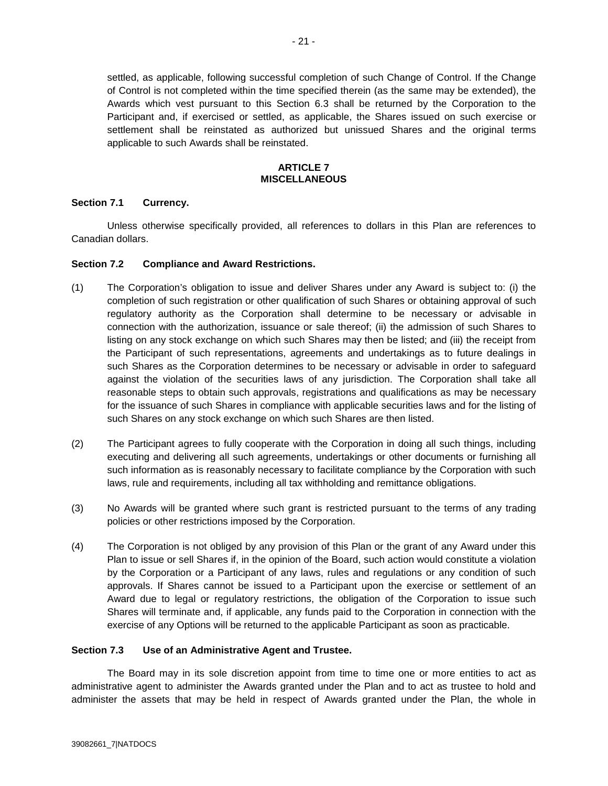settled, as applicable, following successful completion of such Change of Control. If the Change of Control is not completed within the time specified therein (as the same may be extended), the Awards which vest pursuant to this Section 6.3 shall be returned by the Corporation to the Participant and, if exercised or settled, as applicable, the Shares issued on such exercise or settlement shall be reinstated as authorized but unissued Shares and the original terms applicable to such Awards shall be reinstated.

#### **ARTICLE 7 MISCELLANEOUS**

# **Section 7.1 Currency.**

Unless otherwise specifically provided, all references to dollars in this Plan are references to Canadian dollars.

### **Section 7.2 Compliance and Award Restrictions.**

- (1) The Corporation's obligation to issue and deliver Shares under any Award is subject to: (i) the completion of such registration or other qualification of such Shares or obtaining approval of such regulatory authority as the Corporation shall determine to be necessary or advisable in connection with the authorization, issuance or sale thereof; (ii) the admission of such Shares to listing on any stock exchange on which such Shares may then be listed; and (iii) the receipt from the Participant of such representations, agreements and undertakings as to future dealings in such Shares as the Corporation determines to be necessary or advisable in order to safeguard against the violation of the securities laws of any jurisdiction. The Corporation shall take all reasonable steps to obtain such approvals, registrations and qualifications as may be necessary for the issuance of such Shares in compliance with applicable securities laws and for the listing of such Shares on any stock exchange on which such Shares are then listed.
- (2) The Participant agrees to fully cooperate with the Corporation in doing all such things, including executing and delivering all such agreements, undertakings or other documents or furnishing all such information as is reasonably necessary to facilitate compliance by the Corporation with such laws, rule and requirements, including all tax withholding and remittance obligations.
- (3) No Awards will be granted where such grant is restricted pursuant to the terms of any trading policies or other restrictions imposed by the Corporation.
- (4) The Corporation is not obliged by any provision of this Plan or the grant of any Award under this Plan to issue or sell Shares if, in the opinion of the Board, such action would constitute a violation by the Corporation or a Participant of any laws, rules and regulations or any condition of such approvals. If Shares cannot be issued to a Participant upon the exercise or settlement of an Award due to legal or regulatory restrictions, the obligation of the Corporation to issue such Shares will terminate and, if applicable, any funds paid to the Corporation in connection with the exercise of any Options will be returned to the applicable Participant as soon as practicable.

### **Section 7.3 Use of an Administrative Agent and Trustee.**

The Board may in its sole discretion appoint from time to time one or more entities to act as administrative agent to administer the Awards granted under the Plan and to act as trustee to hold and administer the assets that may be held in respect of Awards granted under the Plan, the whole in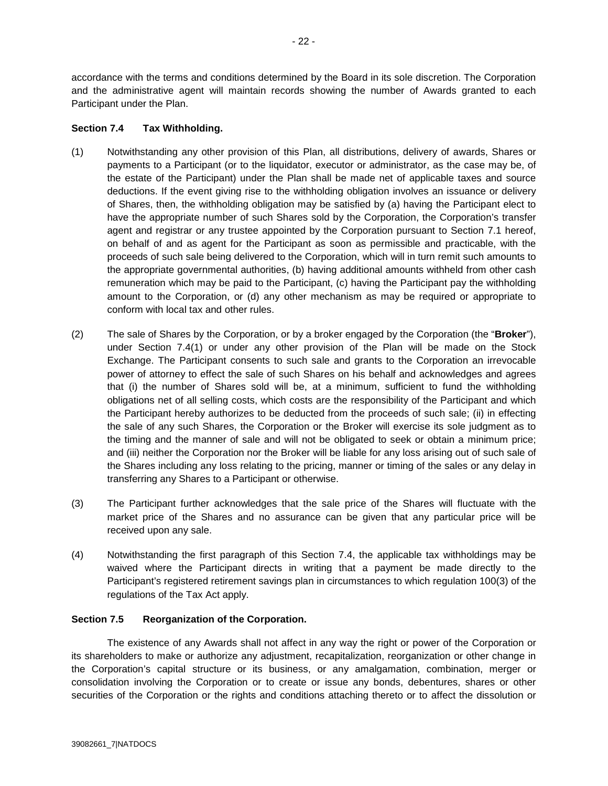accordance with the terms and conditions determined by the Board in its sole discretion. The Corporation and the administrative agent will maintain records showing the number of Awards granted to each Participant under the Plan.

# **Section 7.4 Tax Withholding.**

- (1) Notwithstanding any other provision of this Plan, all distributions, delivery of awards, Shares or payments to a Participant (or to the liquidator, executor or administrator, as the case may be, of the estate of the Participant) under the Plan shall be made net of applicable taxes and source deductions. If the event giving rise to the withholding obligation involves an issuance or delivery of Shares, then, the withholding obligation may be satisfied by (a) having the Participant elect to have the appropriate number of such Shares sold by the Corporation, the Corporation's transfer agent and registrar or any trustee appointed by the Corporation pursuant to Section 7.1 hereof, on behalf of and as agent for the Participant as soon as permissible and practicable, with the proceeds of such sale being delivered to the Corporation, which will in turn remit such amounts to the appropriate governmental authorities, (b) having additional amounts withheld from other cash remuneration which may be paid to the Participant, (c) having the Participant pay the withholding amount to the Corporation, or (d) any other mechanism as may be required or appropriate to conform with local tax and other rules.
- (2) The sale of Shares by the Corporation, or by a broker engaged by the Corporation (the "**Broker**"), under Section 7.4(1) or under any other provision of the Plan will be made on the Stock Exchange. The Participant consents to such sale and grants to the Corporation an irrevocable power of attorney to effect the sale of such Shares on his behalf and acknowledges and agrees that (i) the number of Shares sold will be, at a minimum, sufficient to fund the withholding obligations net of all selling costs, which costs are the responsibility of the Participant and which the Participant hereby authorizes to be deducted from the proceeds of such sale; (ii) in effecting the sale of any such Shares, the Corporation or the Broker will exercise its sole judgment as to the timing and the manner of sale and will not be obligated to seek or obtain a minimum price; and (iii) neither the Corporation nor the Broker will be liable for any loss arising out of such sale of the Shares including any loss relating to the pricing, manner or timing of the sales or any delay in transferring any Shares to a Participant or otherwise.
- (3) The Participant further acknowledges that the sale price of the Shares will fluctuate with the market price of the Shares and no assurance can be given that any particular price will be received upon any sale.
- (4) Notwithstanding the first paragraph of this Section 7.4, the applicable tax withholdings may be waived where the Participant directs in writing that a payment be made directly to the Participant's registered retirement savings plan in circumstances to which regulation 100(3) of the regulations of the Tax Act apply.

# **Section 7.5 Reorganization of the Corporation.**

The existence of any Awards shall not affect in any way the right or power of the Corporation or its shareholders to make or authorize any adjustment, recapitalization, reorganization or other change in the Corporation's capital structure or its business, or any amalgamation, combination, merger or consolidation involving the Corporation or to create or issue any bonds, debentures, shares or other securities of the Corporation or the rights and conditions attaching thereto or to affect the dissolution or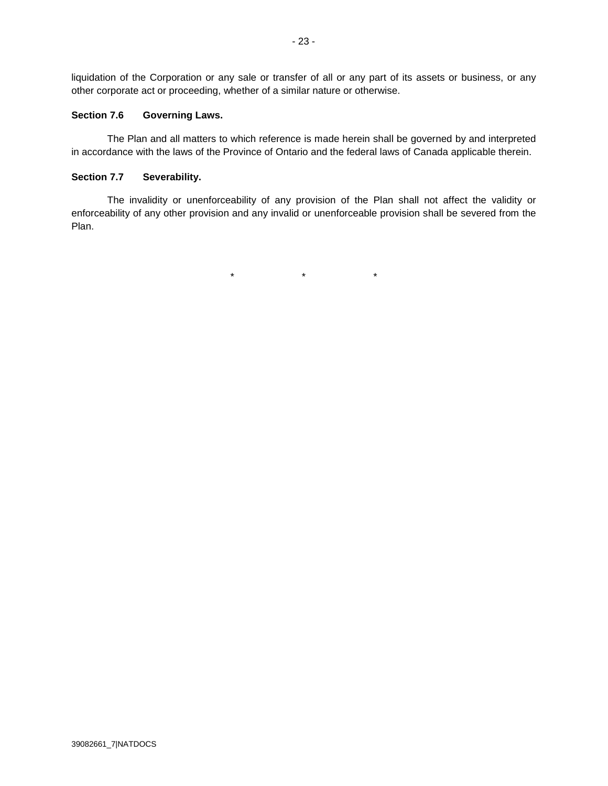liquidation of the Corporation or any sale or transfer of all or any part of its assets or business, or any other corporate act or proceeding, whether of a similar nature or otherwise.

## **Section 7.6 Governing Laws.**

The Plan and all matters to which reference is made herein shall be governed by and interpreted in accordance with the laws of the Province of Ontario and the federal laws of Canada applicable therein.

## **Section 7.7 Severability.**

The invalidity or unenforceability of any provision of the Plan shall not affect the validity or enforceability of any other provision and any invalid or unenforceable provision shall be severed from the Plan.

 $\star$   $\star$   $\star$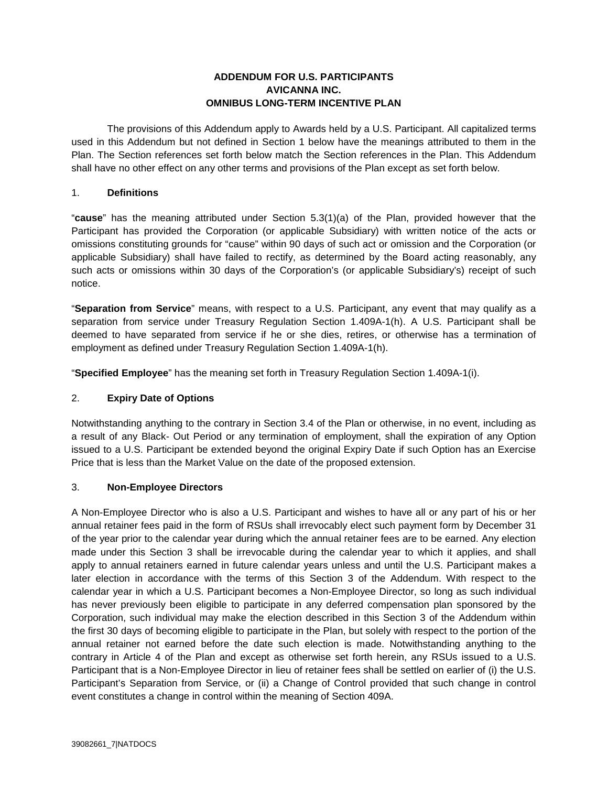# **ADDENDUM FOR U.S. PARTICIPANTS AVICANNA INC. OMNIBUS LONG-TERM INCENTIVE PLAN**

The provisions of this Addendum apply to Awards held by a U.S. Participant. All capitalized terms used in this Addendum but not defined in Section 1 below have the meanings attributed to them in the Plan. The Section references set forth below match the Section references in the Plan. This Addendum shall have no other effect on any other terms and provisions of the Plan except as set forth below.

## 1. **Definitions**

"**cause**" has the meaning attributed under Section 5.3(1)(a) of the Plan, provided however that the Participant has provided the Corporation (or applicable Subsidiary) with written notice of the acts or omissions constituting grounds for "cause" within 90 days of such act or omission and the Corporation (or applicable Subsidiary) shall have failed to rectify, as determined by the Board acting reasonably, any such acts or omissions within 30 days of the Corporation's (or applicable Subsidiary's) receipt of such notice.

"**Separation from Service**" means, with respect to a U.S. Participant, any event that may qualify as a separation from service under Treasury Regulation Section 1.409A-1(h). A U.S. Participant shall be deemed to have separated from service if he or she dies, retires, or otherwise has a termination of employment as defined under Treasury Regulation Section 1.409A-1(h).

"**Specified Employee**" has the meaning set forth in Treasury Regulation Section 1.409A-1(i).

# 2. **Expiry Date of Options**

Notwithstanding anything to the contrary in Section 3.4 of the Plan or otherwise, in no event, including as a result of any Black- Out Period or any termination of employment, shall the expiration of any Option issued to a U.S. Participant be extended beyond the original Expiry Date if such Option has an Exercise Price that is less than the Market Value on the date of the proposed extension.

### 3. **Non-Employee Directors**

A Non-Employee Director who is also a U.S. Participant and wishes to have all or any part of his or her annual retainer fees paid in the form of RSUs shall irrevocably elect such payment form by December 31 of the year prior to the calendar year during which the annual retainer fees are to be earned. Any election made under this Section 3 shall be irrevocable during the calendar year to which it applies, and shall apply to annual retainers earned in future calendar years unless and until the U.S. Participant makes a later election in accordance with the terms of this Section 3 of the Addendum. With respect to the calendar year in which a U.S. Participant becomes a Non-Employee Director, so long as such individual has never previously been eligible to participate in any deferred compensation plan sponsored by the Corporation, such individual may make the election described in this Section 3 of the Addendum within the first 30 days of becoming eligible to participate in the Plan, but solely with respect to the portion of the annual retainer not earned before the date such election is made. Notwithstanding anything to the contrary in Article 4 of the Plan and except as otherwise set forth herein, any RSUs issued to a U.S. Participant that is a Non-Employee Director in lieu of retainer fees shall be settled on earlier of (i) the U.S. Participant's Separation from Service, or (ii) a Change of Control provided that such change in control event constitutes a change in control within the meaning of Section 409A.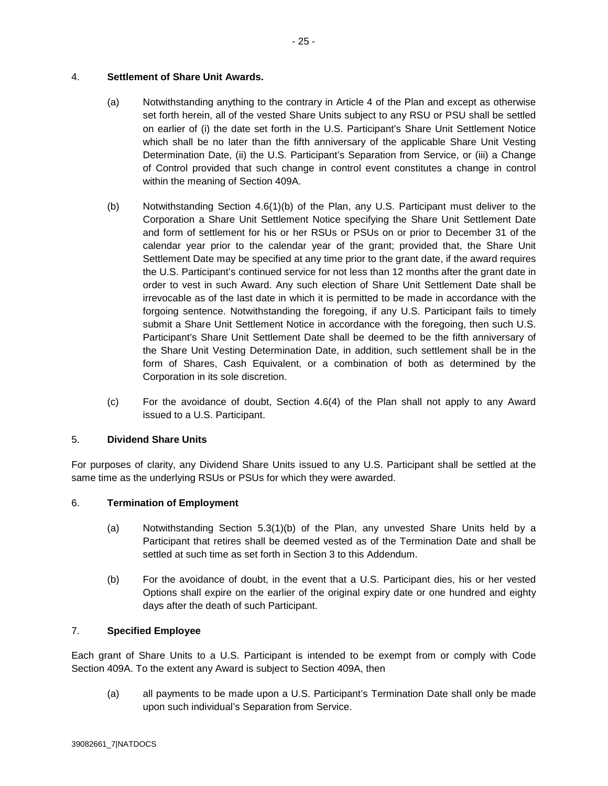# 4. **Settlement of Share Unit Awards.**

- (a) Notwithstanding anything to the contrary in Article 4 of the Plan and except as otherwise set forth herein, all of the vested Share Units subject to any RSU or PSU shall be settled on earlier of (i) the date set forth in the U.S. Participant's Share Unit Settlement Notice which shall be no later than the fifth anniversary of the applicable Share Unit Vesting Determination Date, (ii) the U.S. Participant's Separation from Service, or (iii) a Change of Control provided that such change in control event constitutes a change in control within the meaning of Section 409A.
- (b) Notwithstanding Section 4.6(1)(b) of the Plan, any U.S. Participant must deliver to the Corporation a Share Unit Settlement Notice specifying the Share Unit Settlement Date and form of settlement for his or her RSUs or PSUs on or prior to December 31 of the calendar year prior to the calendar year of the grant; provided that, the Share Unit Settlement Date may be specified at any time prior to the grant date, if the award requires the U.S. Participant's continued service for not less than 12 months after the grant date in order to vest in such Award. Any such election of Share Unit Settlement Date shall be irrevocable as of the last date in which it is permitted to be made in accordance with the forgoing sentence. Notwithstanding the foregoing, if any U.S. Participant fails to timely submit a Share Unit Settlement Notice in accordance with the foregoing, then such U.S. Participant's Share Unit Settlement Date shall be deemed to be the fifth anniversary of the Share Unit Vesting Determination Date, in addition, such settlement shall be in the form of Shares, Cash Equivalent, or a combination of both as determined by the Corporation in its sole discretion.
- (c) For the avoidance of doubt, Section 4.6(4) of the Plan shall not apply to any Award issued to a U.S. Participant.

# 5. **Dividend Share Units**

For purposes of clarity, any Dividend Share Units issued to any U.S. Participant shall be settled at the same time as the underlying RSUs or PSUs for which they were awarded.

# 6. **Termination of Employment**

- (a) Notwithstanding Section 5.3(1)(b) of the Plan, any unvested Share Units held by a Participant that retires shall be deemed vested as of the Termination Date and shall be settled at such time as set forth in Section 3 to this Addendum.
- (b) For the avoidance of doubt, in the event that a U.S. Participant dies, his or her vested Options shall expire on the earlier of the original expiry date or one hundred and eighty days after the death of such Participant.

# 7. **Specified Employee**

Each grant of Share Units to a U.S. Participant is intended to be exempt from or comply with Code Section 409A. To the extent any Award is subject to Section 409A, then

(a) all payments to be made upon a U.S. Participant's Termination Date shall only be made upon such individual's Separation from Service.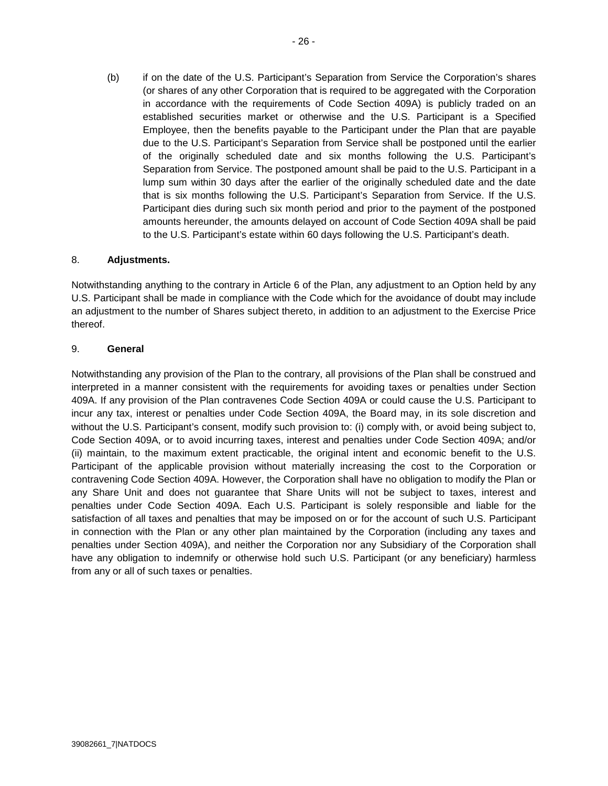(b) if on the date of the U.S. Participant's Separation from Service the Corporation's shares (or shares of any other Corporation that is required to be aggregated with the Corporation in accordance with the requirements of Code Section 409A) is publicly traded on an established securities market or otherwise and the U.S. Participant is a Specified Employee, then the benefits payable to the Participant under the Plan that are payable due to the U.S. Participant's Separation from Service shall be postponed until the earlier of the originally scheduled date and six months following the U.S. Participant's Separation from Service. The postponed amount shall be paid to the U.S. Participant in a lump sum within 30 days after the earlier of the originally scheduled date and the date that is six months following the U.S. Participant's Separation from Service. If the U.S. Participant dies during such six month period and prior to the payment of the postponed amounts hereunder, the amounts delayed on account of Code Section 409A shall be paid to the U.S. Participant's estate within 60 days following the U.S. Participant's death.

# 8. **Adjustments.**

Notwithstanding anything to the contrary in Article 6 of the Plan, any adjustment to an Option held by any U.S. Participant shall be made in compliance with the Code which for the avoidance of doubt may include an adjustment to the number of Shares subject thereto, in addition to an adjustment to the Exercise Price thereof.

## 9. **General**

Notwithstanding any provision of the Plan to the contrary, all provisions of the Plan shall be construed and interpreted in a manner consistent with the requirements for avoiding taxes or penalties under Section 409A. If any provision of the Plan contravenes Code Section 409A or could cause the U.S. Participant to incur any tax, interest or penalties under Code Section 409A, the Board may, in its sole discretion and without the U.S. Participant's consent, modify such provision to: (i) comply with, or avoid being subject to, Code Section 409A, or to avoid incurring taxes, interest and penalties under Code Section 409A; and/or (ii) maintain, to the maximum extent practicable, the original intent and economic benefit to the U.S. Participant of the applicable provision without materially increasing the cost to the Corporation or contravening Code Section 409A. However, the Corporation shall have no obligation to modify the Plan or any Share Unit and does not guarantee that Share Units will not be subject to taxes, interest and penalties under Code Section 409A. Each U.S. Participant is solely responsible and liable for the satisfaction of all taxes and penalties that may be imposed on or for the account of such U.S. Participant in connection with the Plan or any other plan maintained by the Corporation (including any taxes and penalties under Section 409A), and neither the Corporation nor any Subsidiary of the Corporation shall have any obligation to indemnify or otherwise hold such U.S. Participant (or any beneficiary) harmless from any or all of such taxes or penalties.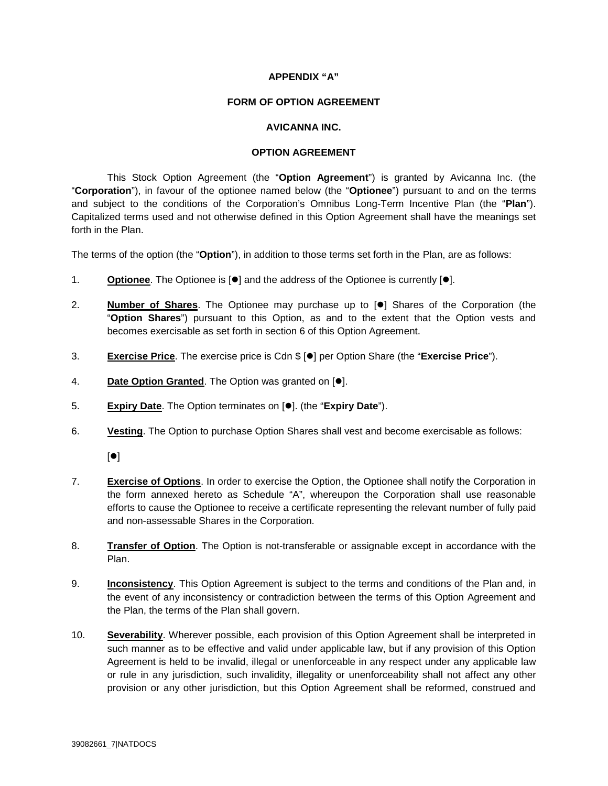## **APPENDIX "A"**

### **FORM OF OPTION AGREEMENT**

## **AVICANNA INC.**

## **OPTION AGREEMENT**

This Stock Option Agreement (the "**Option Agreement**") is granted by Avicanna Inc. (the "**Corporation**"), in favour of the optionee named below (the "**Optionee**") pursuant to and on the terms and subject to the conditions of the Corporation's Omnibus Long-Term Incentive Plan (the "**Plan**"). Capitalized terms used and not otherwise defined in this Option Agreement shall have the meanings set forth in the Plan.

The terms of the option (the "**Option**"), in addition to those terms set forth in the Plan, are as follows:

- 1. **Optionee**. The Optionee is  $\lceil \bullet \rceil$  and the address of the Optionee is currently  $\lceil \bullet \rceil$ .
- 2. **Number of Shares**. The Optionee may purchase up to [ $\bullet$ ] Shares of the Corporation (the "**Option Shares**") pursuant to this Option, as and to the extent that the Option vests and becomes exercisable as set forth in section 6 of this Option Agreement.
- 3. **Exercise Price**. The exercise price is Cdn \$ [ $\bullet$ ] per Option Share (the "**Exercise Price**").
- 4. **Date Option Granted**. The Option was granted on [ $\bullet$ ].
- 5. **Expiry Date**. The Option terminates on  $[•]$ . (the "**Expiry Date**").
- 6. **Vesting**. The Option to purchase Option Shares shall vest and become exercisable as follows:

 $[•]$ 

- 7. **Exercise of Options**. In order to exercise the Option, the Optionee shall notify the Corporation in the form annexed hereto as Schedule "A", whereupon the Corporation shall use reasonable efforts to cause the Optionee to receive a certificate representing the relevant number of fully paid and non-assessable Shares in the Corporation.
- 8. **Transfer of Option**. The Option is not-transferable or assignable except in accordance with the Plan.
- 9. **Inconsistency**. This Option Agreement is subject to the terms and conditions of the Plan and, in the event of any inconsistency or contradiction between the terms of this Option Agreement and the Plan, the terms of the Plan shall govern.
- 10. **Severability**. Wherever possible, each provision of this Option Agreement shall be interpreted in such manner as to be effective and valid under applicable law, but if any provision of this Option Agreement is held to be invalid, illegal or unenforceable in any respect under any applicable law or rule in any jurisdiction, such invalidity, illegality or unenforceability shall not affect any other provision or any other jurisdiction, but this Option Agreement shall be reformed, construed and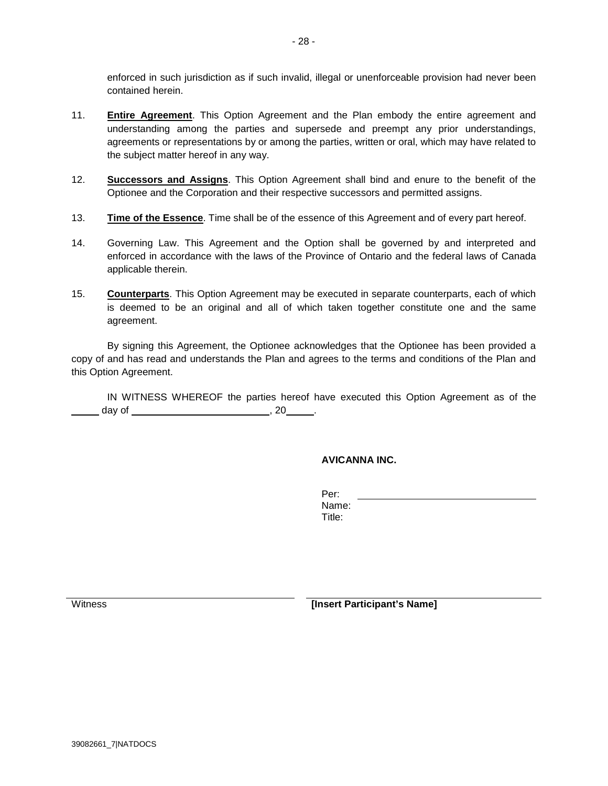enforced in such jurisdiction as if such invalid, illegal or unenforceable provision had never been contained herein.

- 11. **Entire Agreement**. This Option Agreement and the Plan embody the entire agreement and understanding among the parties and supersede and preempt any prior understandings, agreements or representations by or among the parties, written or oral, which may have related to the subject matter hereof in any way.
- 12. **Successors and Assigns**. This Option Agreement shall bind and enure to the benefit of the Optionee and the Corporation and their respective successors and permitted assigns.
- 13. **Time of the Essence**. Time shall be of the essence of this Agreement and of every part hereof.
- 14. Governing Law. This Agreement and the Option shall be governed by and interpreted and enforced in accordance with the laws of the Province of Ontario and the federal laws of Canada applicable therein.
- 15. **Counterparts**. This Option Agreement may be executed in separate counterparts, each of which is deemed to be an original and all of which taken together constitute one and the same agreement.

By signing this Agreement, the Optionee acknowledges that the Optionee has been provided a copy of and has read and understands the Plan and agrees to the terms and conditions of the Plan and this Option Agreement.

IN WITNESS WHEREOF the parties hereof have executed this Option Agreement as of the \_\_ day of \_\_\_\_\_\_\_\_\_\_\_\_\_\_\_\_\_\_\_\_\_\_\_\_\_\_\_\_\_\_\_\_\_, 20\_\_\_\_\_\_.

# **AVICANNA INC.**

Per: Name: Title:

Witness *Mitness Mitness Mitness Mitness Mitness Mitness Mitness Mitness Mitness Mitness Mitness Mitness Mitness Mitness Mitness Mitness Mitness Mitness*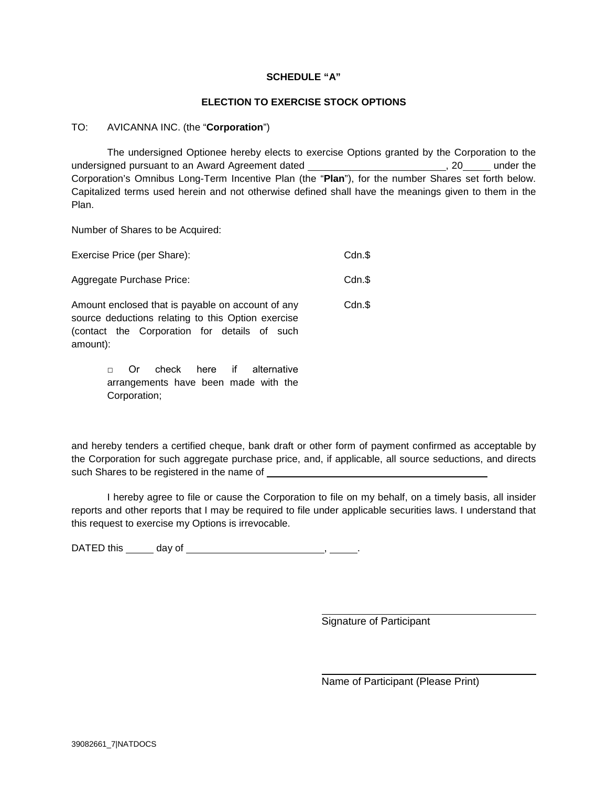## **SCHEDULE "A"**

## **ELECTION TO EXERCISE STOCK OPTIONS**

## TO: AVICANNA INC. (the "**Corporation**")

The undersigned Optionee hereby elects to exercise Options granted by the Corporation to the undersigned pursuant to an Award Agreement dated and the state of the state of the state of the under the under the Corporation's Omnibus Long-Term Incentive Plan (the "**Plan**"), for the number Shares set forth below. Capitalized terms used herein and not otherwise defined shall have the meanings given to them in the Plan.

Number of Shares to be Acquired:

| Exercise Price (per Share):                                                                                                                                         | $Cdn.\$ |
|---------------------------------------------------------------------------------------------------------------------------------------------------------------------|---------|
| Aggregate Purchase Price:                                                                                                                                           | Cdn.\$  |
| Amount enclosed that is payable on account of any<br>source deductions relating to this Option exercise<br>(contact the Corporation for details of such<br>amount): | Cdn.\$  |

□ Or check here if alternative arrangements have been made with the Corporation;

and hereby tenders a certified cheque, bank draft or other form of payment confirmed as acceptable by the Corporation for such aggregate purchase price, and, if applicable, all source seductions, and directs such Shares to be registered in the name of \_\_\_\_

I hereby agree to file or cause the Corporation to file on my behalf, on a timely basis, all insider reports and other reports that I may be required to file under applicable securities laws. I understand that this request to exercise my Options is irrevocable.

DATED this day of , .

Signature of Participant

Name of Participant (Please Print)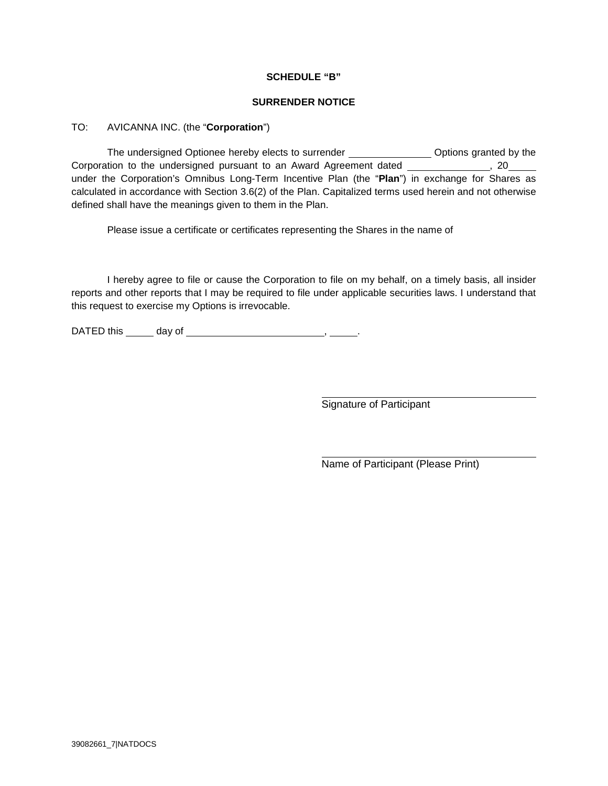## **SCHEDULE "B"**

#### **SURRENDER NOTICE**

### TO: AVICANNA INC. (the "**Corporation**")

The undersigned Optionee hereby elects to surrender \_\_\_\_\_\_\_\_\_\_\_\_\_\_\_\_ Options granted by the Corporation to the undersigned pursuant to an Award Agreement dated , 20 under the Corporation's Omnibus Long-Term Incentive Plan (the "**Plan**") in exchange for Shares as calculated in accordance with Section 3.6(2) of the Plan. Capitalized terms used herein and not otherwise defined shall have the meanings given to them in the Plan.

Please issue a certificate or certificates representing the Shares in the name of

I hereby agree to file or cause the Corporation to file on my behalf, on a timely basis, all insider reports and other reports that I may be required to file under applicable securities laws. I understand that this request to exercise my Options is irrevocable.

DATED this day of , .

Signature of Participant

Name of Participant (Please Print)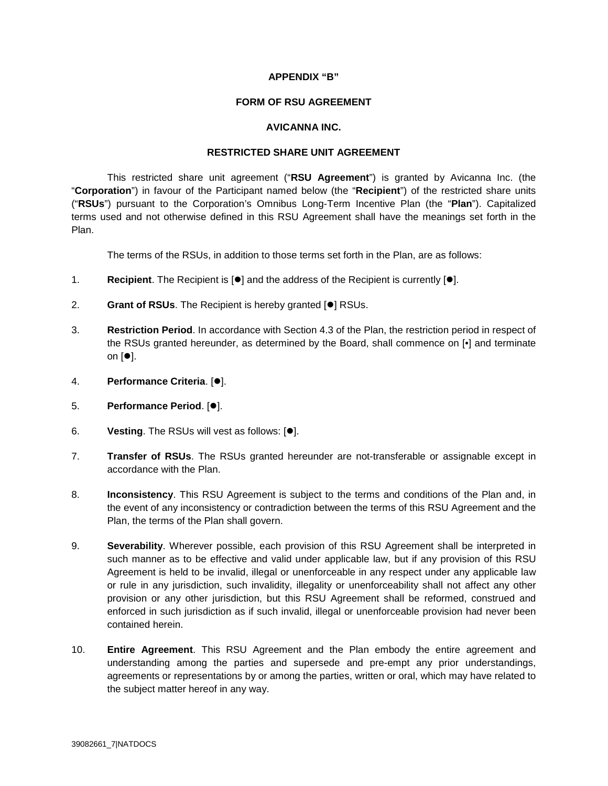## **APPENDIX "B"**

#### **FORM OF RSU AGREEMENT**

#### **AVICANNA INC.**

#### **RESTRICTED SHARE UNIT AGREEMENT**

This restricted share unit agreement ("**RSU Agreement**") is granted by Avicanna Inc. (the "**Corporation**") in favour of the Participant named below (the "**Recipient**") of the restricted share units ("**RSUs**") pursuant to the Corporation's Omnibus Long-Term Incentive Plan (the "**Plan**"). Capitalized terms used and not otherwise defined in this RSU Agreement shall have the meanings set forth in the Plan.

The terms of the RSUs, in addition to those terms set forth in the Plan, are as follows:

- 1. **Recipient**. The Recipient is  $\lceil \bullet \rceil$  and the address of the Recipient is currently  $\lceil \bullet \rceil$ .
- 2. Grant of RSUs. The Recipient is hereby granted [<sup>o</sup>] RSUs.
- 3. **Restriction Period**. In accordance with Section 4.3 of the Plan, the restriction period in respect of the RSUs granted hereunder, as determined by the Board, shall commence on [•] and terminate on  $[•]$ .
- 4. **Performance Criteria**. [ $\bullet$ ].
- 5. **Performance Period. [0].**
- 6. **Vesting**. The RSUs will vest as follows: [ $\bullet$ ].
- 7. **Transfer of RSUs**. The RSUs granted hereunder are not-transferable or assignable except in accordance with the Plan.
- 8. **Inconsistency**. This RSU Agreement is subject to the terms and conditions of the Plan and, in the event of any inconsistency or contradiction between the terms of this RSU Agreement and the Plan, the terms of the Plan shall govern.
- 9. **Severability**. Wherever possible, each provision of this RSU Agreement shall be interpreted in such manner as to be effective and valid under applicable law, but if any provision of this RSU Agreement is held to be invalid, illegal or unenforceable in any respect under any applicable law or rule in any jurisdiction, such invalidity, illegality or unenforceability shall not affect any other provision or any other jurisdiction, but this RSU Agreement shall be reformed, construed and enforced in such jurisdiction as if such invalid, illegal or unenforceable provision had never been contained herein.
- 10. **Entire Agreement**. This RSU Agreement and the Plan embody the entire agreement and understanding among the parties and supersede and pre-empt any prior understandings, agreements or representations by or among the parties, written or oral, which may have related to the subject matter hereof in any way.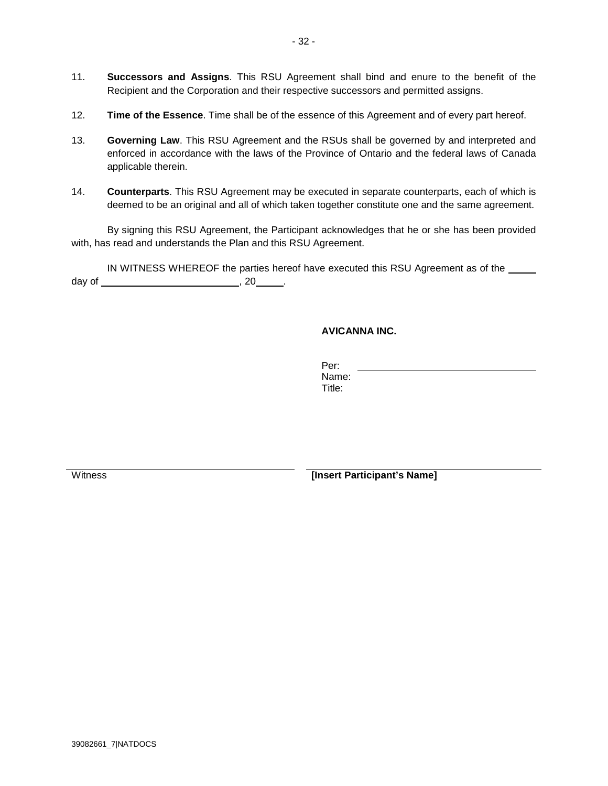- 11. **Successors and Assigns**. This RSU Agreement shall bind and enure to the benefit of the Recipient and the Corporation and their respective successors and permitted assigns.
- 12. **Time of the Essence**. Time shall be of the essence of this Agreement and of every part hereof.
- 13. **Governing Law**. This RSU Agreement and the RSUs shall be governed by and interpreted and enforced in accordance with the laws of the Province of Ontario and the federal laws of Canada applicable therein.
- 14. **Counterparts**. This RSU Agreement may be executed in separate counterparts, each of which is deemed to be an original and all of which taken together constitute one and the same agreement.

By signing this RSU Agreement, the Participant acknowledges that he or she has been provided with, has read and understands the Plan and this RSU Agreement.

IN WITNESS WHEREOF the parties hereof have executed this RSU Agreement as of the \_\_\_\_\_ day of , 20 .

# **AVICANNA INC.**

Per: Name:

Title:

Witness *Mitness Mitness Mitness Mitness Mitness Mitness Mitness Mitness Mitness Mitness Mitness Mitness Mitness Mitness Mitness Mitness Mitness Mitness*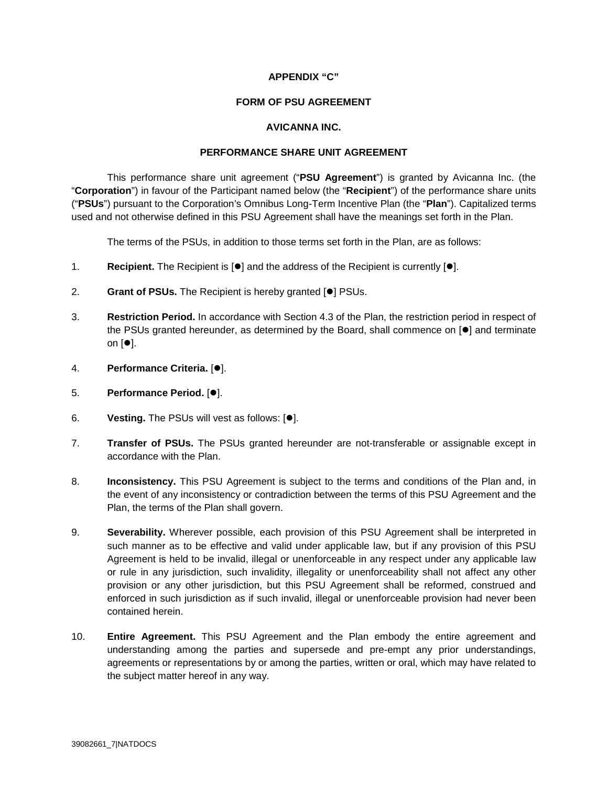## **APPENDIX "C"**

#### **FORM OF PSU AGREEMENT**

# **AVICANNA INC.**

#### **PERFORMANCE SHARE UNIT AGREEMENT**

This performance share unit agreement ("**PSU Agreement**") is granted by Avicanna Inc. (the "**Corporation**") in favour of the Participant named below (the "**Recipient**") of the performance share units ("**PSUs**") pursuant to the Corporation's Omnibus Long-Term Incentive Plan (the "**Plan**"). Capitalized terms used and not otherwise defined in this PSU Agreement shall have the meanings set forth in the Plan.

The terms of the PSUs, in addition to those terms set forth in the Plan, are as follows:

- 1. **Recipient.** The Recipient is  $\lceil \bullet \rceil$  and the address of the Recipient is currently  $\lceil \bullet \rceil$ .
- 2. Grant of PSUs. The Recipient is hereby granted [ $\bullet$ ] PSUs.
- 3. **Restriction Period.** In accordance with Section 4.3 of the Plan, the restriction period in respect of the PSUs granted hereunder, as determined by the Board, shall commence on  $\blacksquare$  and terminate on  $[•]$ .
- 4. **Performance Criteria.** [ $\bullet$ ].
- 5. **Performance Period.** [ $\bullet$ ].
- 6. **Vesting.** The PSUs will vest as follows: [ $\bullet$ ].
- 7. **Transfer of PSUs.** The PSUs granted hereunder are not-transferable or assignable except in accordance with the Plan.
- 8. **Inconsistency.** This PSU Agreement is subject to the terms and conditions of the Plan and, in the event of any inconsistency or contradiction between the terms of this PSU Agreement and the Plan, the terms of the Plan shall govern.
- 9. **Severability.** Wherever possible, each provision of this PSU Agreement shall be interpreted in such manner as to be effective and valid under applicable law, but if any provision of this PSU Agreement is held to be invalid, illegal or unenforceable in any respect under any applicable law or rule in any jurisdiction, such invalidity, illegality or unenforceability shall not affect any other provision or any other jurisdiction, but this PSU Agreement shall be reformed, construed and enforced in such jurisdiction as if such invalid, illegal or unenforceable provision had never been contained herein.
- 10. **Entire Agreement.** This PSU Agreement and the Plan embody the entire agreement and understanding among the parties and supersede and pre-empt any prior understandings, agreements or representations by or among the parties, written or oral, which may have related to the subject matter hereof in any way.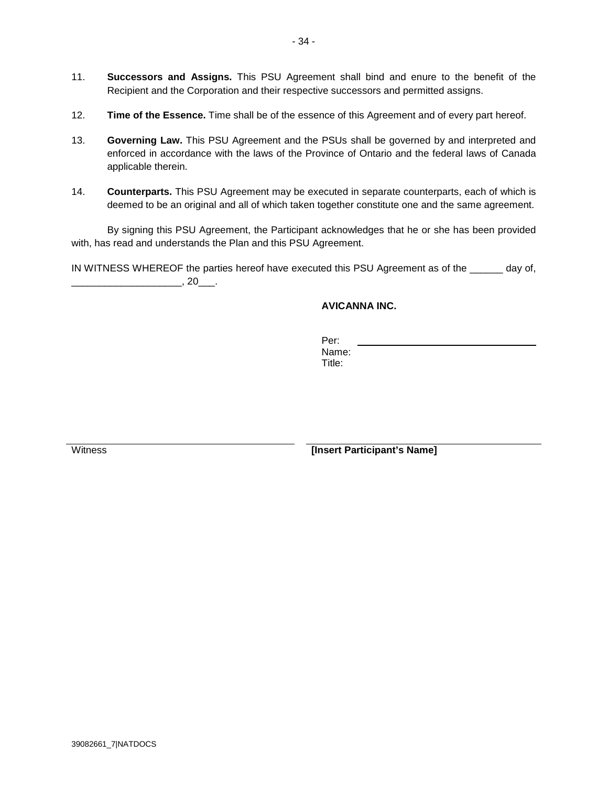- 11. **Successors and Assigns.** This PSU Agreement shall bind and enure to the benefit of the Recipient and the Corporation and their respective successors and permitted assigns.
- 12. **Time of the Essence.** Time shall be of the essence of this Agreement and of every part hereof.
- 13. **Governing Law.** This PSU Agreement and the PSUs shall be governed by and interpreted and enforced in accordance with the laws of the Province of Ontario and the federal laws of Canada applicable therein.
- 14. **Counterparts.** This PSU Agreement may be executed in separate counterparts, each of which is deemed to be an original and all of which taken together constitute one and the same agreement.

By signing this PSU Agreement, the Participant acknowledges that he or she has been provided with, has read and understands the Plan and this PSU Agreement.

IN WITNESS WHEREOF the parties hereof have executed this PSU Agreement as of the \_\_\_\_\_\_ day of,  $\overline{\phantom{a}}$ , 20 $\overline{\phantom{a}}$ .

# **AVICANNA INC.**

Per: Name: Title:

**Insert Participant's Name**